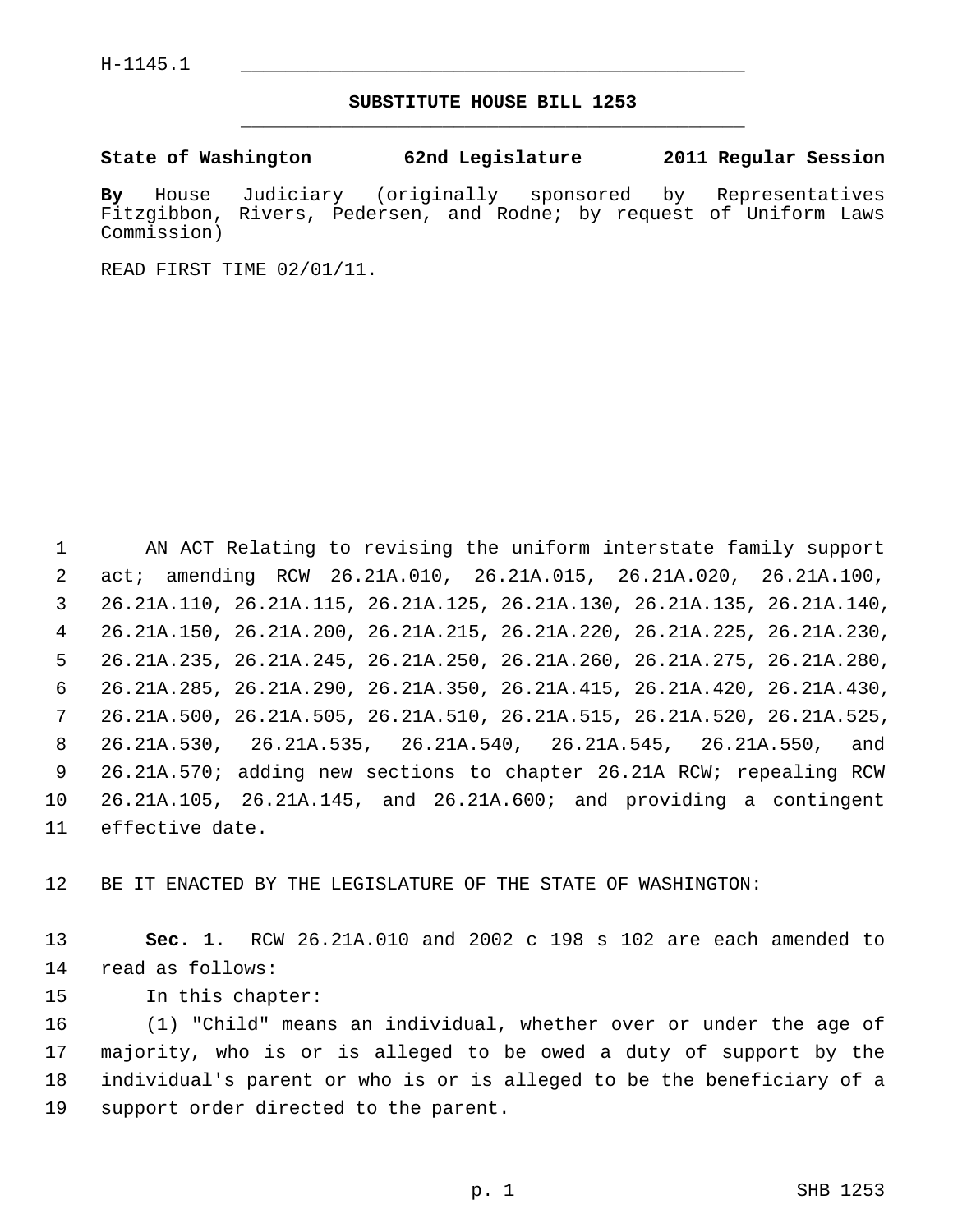## **SUBSTITUTE HOUSE BILL 1253** \_\_\_\_\_\_\_\_\_\_\_\_\_\_\_\_\_\_\_\_\_\_\_\_\_\_\_\_\_\_\_\_\_\_\_\_\_\_\_\_\_\_\_\_\_

**State of Washington 62nd Legislature 2011 Regular Session**

**By** House Judiciary (originally sponsored by Representatives Fitzgibbon, Rivers, Pedersen, and Rodne; by request of Uniform Laws Commission)

READ FIRST TIME 02/01/11.

 1 AN ACT Relating to revising the uniform interstate family support 2 act; amending RCW 26.21A.010, 26.21A.015, 26.21A.020, 26.21A.100, 3 26.21A.110, 26.21A.115, 26.21A.125, 26.21A.130, 26.21A.135, 26.21A.140, 4 26.21A.150, 26.21A.200, 26.21A.215, 26.21A.220, 26.21A.225, 26.21A.230, 5 26.21A.235, 26.21A.245, 26.21A.250, 26.21A.260, 26.21A.275, 26.21A.280, 6 26.21A.285, 26.21A.290, 26.21A.350, 26.21A.415, 26.21A.420, 26.21A.430, 7 26.21A.500, 26.21A.505, 26.21A.510, 26.21A.515, 26.21A.520, 26.21A.525, 8 26.21A.530, 26.21A.535, 26.21A.540, 26.21A.545, 26.21A.550, and 9 26.21A.570; adding new sections to chapter 26.21A RCW; repealing RCW 10 26.21A.105, 26.21A.145, and 26.21A.600; and providing a contingent 11 effective date.

12 BE IT ENACTED BY THE LEGISLATURE OF THE STATE OF WASHINGTON:

13 **Sec. 1.** RCW 26.21A.010 and 2002 c 198 s 102 are each amended to 14 read as follows:

15 In this chapter:

16 (1) "Child" means an individual, whether over or under the age of 17 majority, who is or is alleged to be owed a duty of support by the 18 individual's parent or who is or is alleged to be the beneficiary of a 19 support order directed to the parent.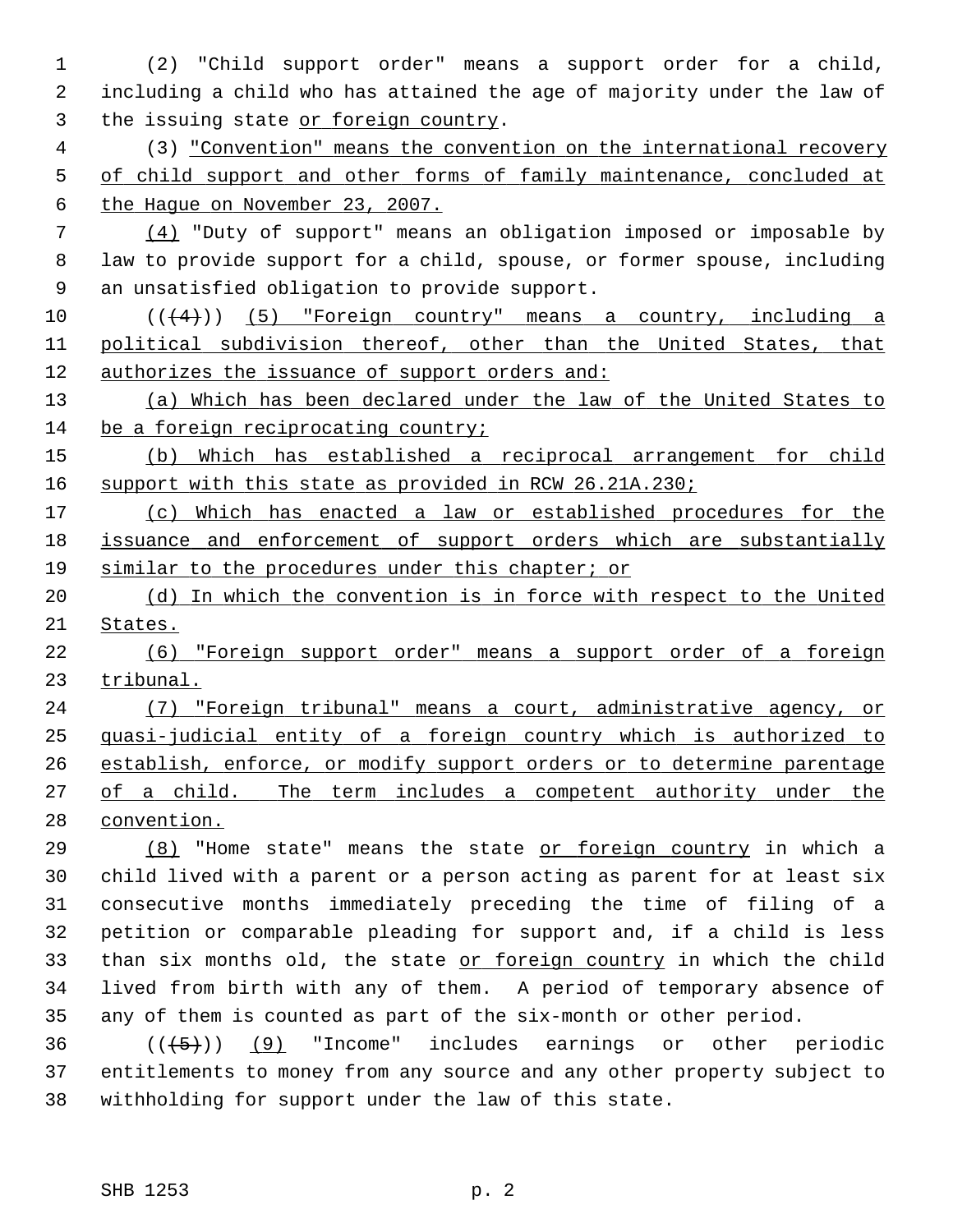1 (2) "Child support order" means a support order for a child, 2 including a child who has attained the age of majority under the law of 3 the issuing state or foreign country.

 4 (3) "Convention" means the convention on the international recovery 5 of child support and other forms of family maintenance, concluded at 6 the Hague on November 23, 2007.

 7 (4) "Duty of support" means an obligation imposed or imposable by 8 law to provide support for a child, spouse, or former spouse, including 9 an unsatisfied obligation to provide support.

10  $((+4))$   $(5)$  "Foreign country" means a country, including a 11 political subdivision thereof, other than the United States, that 12 authorizes the issuance of support orders and:

13 (a) Which has been declared under the law of the United States to 14 be a foreign reciprocating country;

15 (b) Which has established a reciprocal arrangement for child 16 support with this state as provided in RCW 26.21A.230;

17 (c) Which has enacted a law or established procedures for the 18 issuance and enforcement of support orders which are substantially 19 similar to the procedures under this chapter; or

20 (d) In which the convention is in force with respect to the United 21 States.

22 (6) "Foreign support order" means a support order of a foreign 23 tribunal.

 (7) "Foreign tribunal" means a court, administrative agency, or quasi-judicial entity of a foreign country which is authorized to establish, enforce, or modify support orders or to determine parentage of a child. The term includes a competent authority under the convention.

29 (8) "Home state" means the state or foreign country in which a 30 child lived with a parent or a person acting as parent for at least six 31 consecutive months immediately preceding the time of filing of a 32 petition or comparable pleading for support and, if a child is less 33 than six months old, the state or foreign country in which the child 34 lived from birth with any of them. A period of temporary absence of 35 any of them is counted as part of the six-month or other period.

 $36$  ( $(\overline{5})$ ) (9) "Income" includes earnings or other periodic 37 entitlements to money from any source and any other property subject to 38 withholding for support under the law of this state.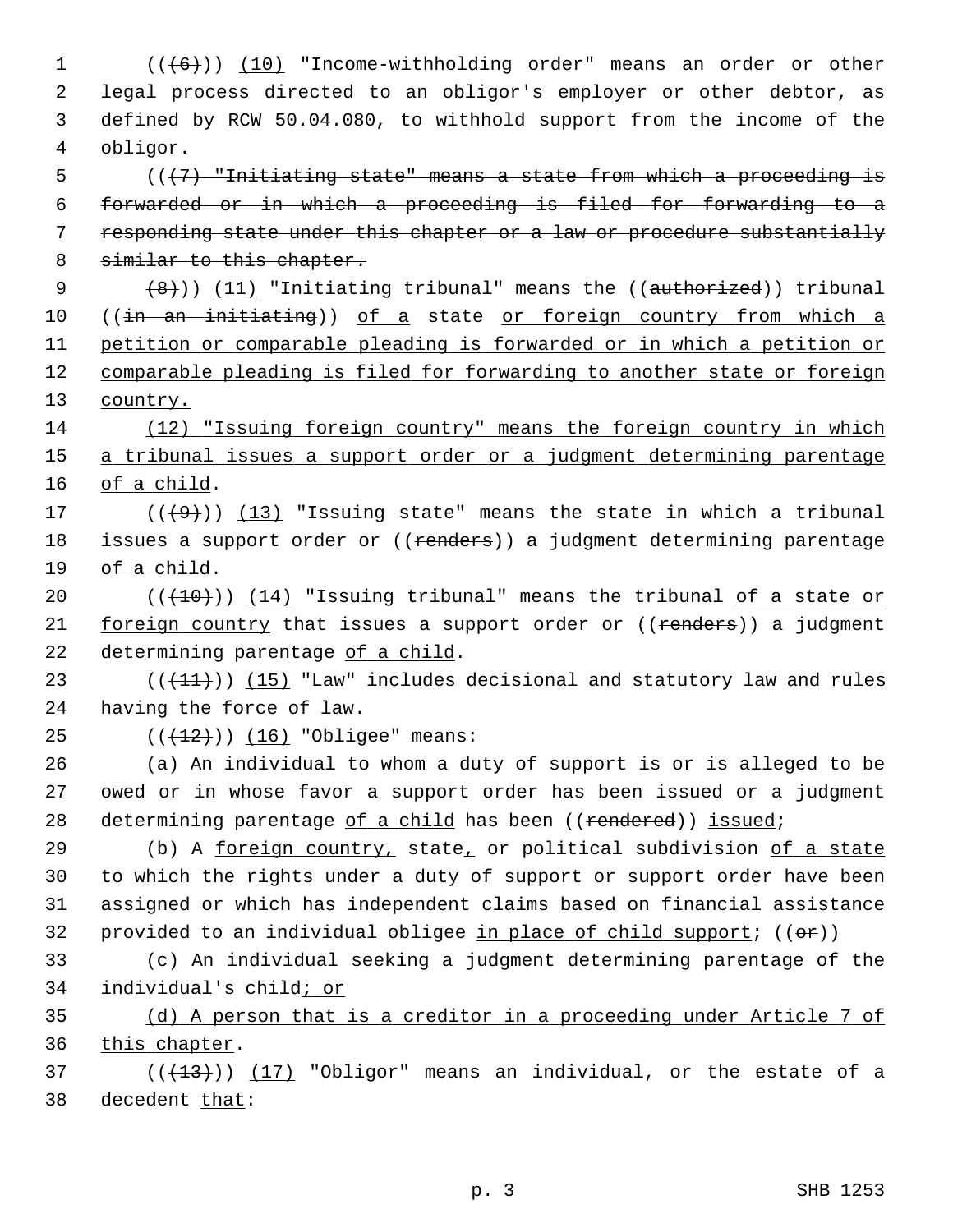$1$  ( $(\frac{16}{10})$   $(10)$  "Income-withholding order" means an order or other 2 legal process directed to an obligor's employer or other debtor, as 3 defined by RCW 50.04.080, to withhold support from the income of the 4 obligor.

 (( $\{7\}$  "Initiating state" means a state from which a proceeding is forwarded or in which a proceeding is filed for forwarding to a responding state under this chapter or a law or procedure substantially 8 similar to this chapter.

9  $(8)$ )) (11) "Initiating tribunal" means the (( $\alpha$ uthorized)) tribunal 10 ((in an initiating)) of a state or foreign country from which a 11 petition or comparable pleading is forwarded or in which a petition or 12 comparable pleading is filed for forwarding to another state or foreign 13 country.

14 (12) "Issuing foreign country" means the foreign country in which 15 a tribunal issues a support order or a judgment determining parentage 16 of a child.

17  $((+9))$   $(13)$  "Issuing state" means the state in which a tribunal 18 issues a support order or ((renders)) a judgment determining parentage 19 of a child.

20  $((+10))$  (14) "Issuing tribunal" means the tribunal of a state or 21 foreign country that issues a support order or ((renders)) a judgment 22 determining parentage of a child.

23  $((+11))$  (15) "Law" includes decisional and statutory law and rules 24 having the force of law.

25  $((+12))$   $(16)$  "Obligee" means:

26 (a) An individual to whom a duty of support is or is alleged to be 27 owed or in whose favor a support order has been issued or a judgment 28 determining parentage of a child has been ((rendered)) issued;

29 (b) A foreign country, state, or political subdivision of a state 30 to which the rights under a duty of support or support order have been 31 assigned or which has independent claims based on financial assistance 32 provided to an individual obligee in place of child support;  $((\theta \cdot \hat{r}))$ 

33 (c) An individual seeking a judgment determining parentage of the 34 individual's child; or

35 (d) A person that is a creditor in a proceeding under Article 7 of 36 this chapter.

 $(1, 37)$  ( $(1, 13)$ ) (17) "Obligor" means an individual, or the estate of a 38 decedent that: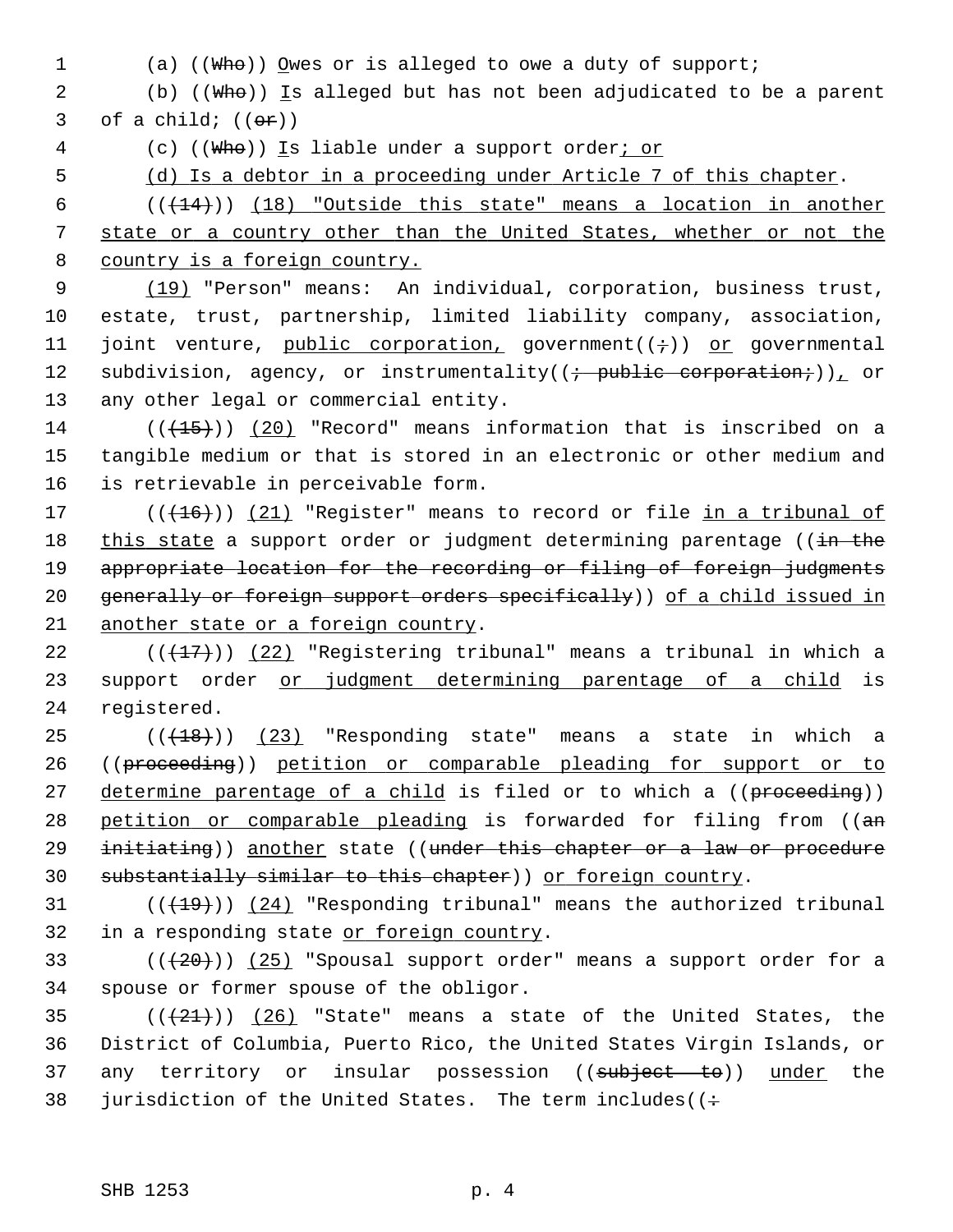1 (a) ((Who)) Owes or is alleged to owe a duty of support;

2 (b) ((Who)) Is alleged but has not been adjudicated to be a parent 3 of a child;  $((\theta \cdot \mathbf{r}))$ 

4 (c) ((Who)) Is liable under a support order; or

5 (d) Is a debtor in a proceeding under Article 7 of this chapter.

 $6$  ( $(\frac{14}{14})$ ) (18) "Outside this state" means a location in another 7 state or a country other than the United States, whether or not the 8 country is a foreign country.

 9 (19) "Person" means: An individual, corporation, business trust, 10 estate, trust, partnership, limited liability company, association, 11 joint venture, public corporation, government( $(i+1)$ ) or governmental 12 subdivision, agency, or instrumentality( $(i + \text{public corporation}.)$ ), or 13 any other legal or commercial entity.

 $14$  (( $(15)$ )) (20) "Record" means information that is inscribed on a 15 tangible medium or that is stored in an electronic or other medium and 16 is retrievable in perceivable form.

17  $((+16))$   $(21)$  "Register" means to record or file in a tribunal of 18 this state a support order or judgment determining parentage (( $\frac{1}{2}$  the 19 appropriate location for the recording or filing of foreign judgments 20 generally or foreign support orders specifically)) of a child issued in 21 another state or a foreign country.

22 ( $(\frac{17}{17})$ ) (22) "Registering tribunal" means a tribunal in which a 23 support order or judgment determining parentage of a child is 24 registered.

 $25$  ( $(\overline{+18})$ ) (23) "Responding state" means a state in which a 26 ((proceeding)) petition or comparable pleading for support or to 27 determine parentage of a child is filed or to which a ((proceeding)) 28 petition or comparable pleading is forwarded for filing from ((an 29 initiating)) another state ((under this chapter or a law or procedure 30 substantially similar to this chapter)) or foreign country.

 $(1)(19)$  (( $19$ )) (24) "Responding tribunal" means the authorized tribunal 32 in a responding state or foreign country.

33  $((+20))$   $(25)$  "Spousal support order" means a support order for a 34 spouse or former spouse of the obligor.

 $(1+21)$   $(26)$  "State" means a state of the United States, the 36 District of Columbia, Puerto Rico, the United States Virgin Islands, or 37 any territory or insular possession ((subject to)) under the 38 jurisdiction of the United States. The term includes ( $\left( \div \right)$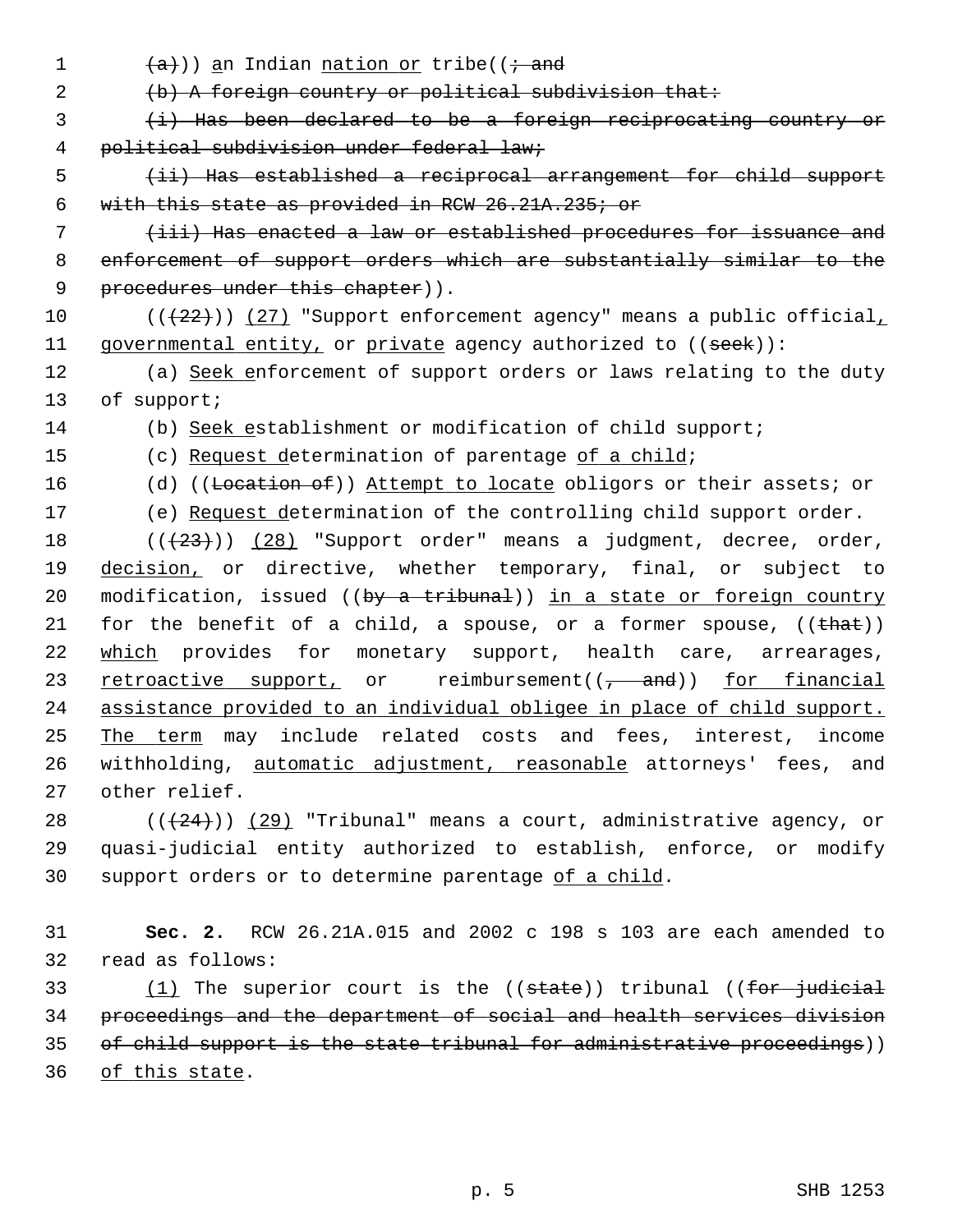1  $(a)$ )) an Indian nation or tribe(( $\dot{t}$  and 2 (b) A foreign country or political subdivision that: 3 (i) Has been declared to be a foreign reciprocating country or 4 political subdivision under federal law; 5 (ii) Has established a reciprocal arrangement for child support 6 with this state as provided in RCW 26.21A.235; or 7 (iii) Has enacted a law or established procedures for issuance and 8 enforcement of support orders which are substantially similar to the 9 procedures under this chapter)). 10  $((+22))$  (27) "Support enforcement agency" means a public official, 11 governmental entity, or private agency authorized to  $((see k))$ : 12 (a) Seek enforcement of support orders or laws relating to the duty 13 of support; 14 (b) Seek establishment or modification of child support; 15 (c) Request determination of parentage of a child; 16 (d) ((Location of)) Attempt to locate obligors or their assets; or 17 (e) Request determination of the controlling child support order. 18  $((+23))$   $(28)$  "Support order" means a judgment, decree, order, 19 decision, or directive, whether temporary, final, or subject to 20 modification, issued ((by a tribunal)) in a state or foreign country 21 for the benefit of a child, a spouse, or a former spouse,  $((that))$ 22 which provides for monetary support, health care, arrearages, 23 retroactive support, or reimbursement( $(\tau$  and)) for financial 24 assistance provided to an individual obligee in place of child support. 25 The term may include related costs and fees, interest, income 26 withholding, automatic adjustment, reasonable attorneys' fees, and 27 other relief. 28  $((+24))$   $(29)$  "Tribunal" means a court, administrative agency, or 29 quasi-judicial entity authorized to establish, enforce, or modify 30 support orders or to determine parentage of a child. 31 **Sec. 2.** RCW 26.21A.015 and 2002 c 198 s 103 are each amended to 32 read as follows: 33  $(1)$  The superior court is the  $($ (state)) tribunal  $($  (for judicial 34 proceedings and the department of social and health services division 35 of child support is the state tribunal for administrative proceedings)) 36 of this state.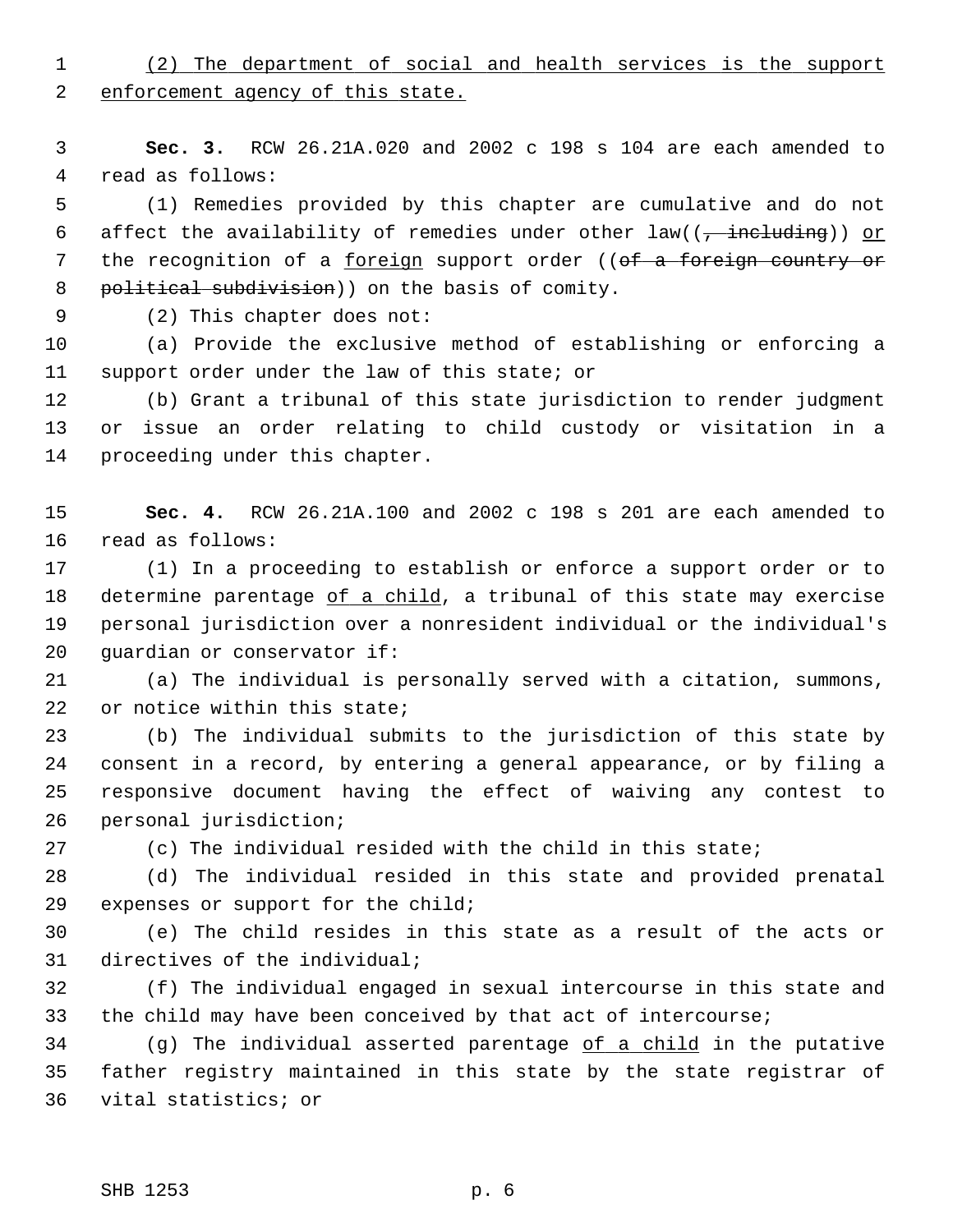1 (2) The department of social and health services is the support 2 enforcement agency of this state.

 3 **Sec. 3.** RCW 26.21A.020 and 2002 c 198 s 104 are each amended to 4 read as follows:

 5 (1) Remedies provided by this chapter are cumulative and do not 6 affect the availability of remedies under other  $law(( - \frac{in\tanctan x}{n}) )$  or 7 the recognition of a foreign support order ((of a foreign country or 8 political subdivision)) on the basis of comity.

9 (2) This chapter does not:

10 (a) Provide the exclusive method of establishing or enforcing a 11 support order under the law of this state; or

12 (b) Grant a tribunal of this state jurisdiction to render judgment 13 or issue an order relating to child custody or visitation in a 14 proceeding under this chapter.

15 **Sec. 4.** RCW 26.21A.100 and 2002 c 198 s 201 are each amended to 16 read as follows:

17 (1) In a proceeding to establish or enforce a support order or to 18 determine parentage of a child, a tribunal of this state may exercise 19 personal jurisdiction over a nonresident individual or the individual's 20 guardian or conservator if:

21 (a) The individual is personally served with a citation, summons, 22 or notice within this state;

23 (b) The individual submits to the jurisdiction of this state by 24 consent in a record, by entering a general appearance, or by filing a 25 responsive document having the effect of waiving any contest to 26 personal jurisdiction;

27 (c) The individual resided with the child in this state;

28 (d) The individual resided in this state and provided prenatal 29 expenses or support for the child;

30 (e) The child resides in this state as a result of the acts or 31 directives of the individual;

32 (f) The individual engaged in sexual intercourse in this state and 33 the child may have been conceived by that act of intercourse;

34 (g) The individual asserted parentage of a child in the putative 35 father registry maintained in this state by the state registrar of 36 vital statistics; or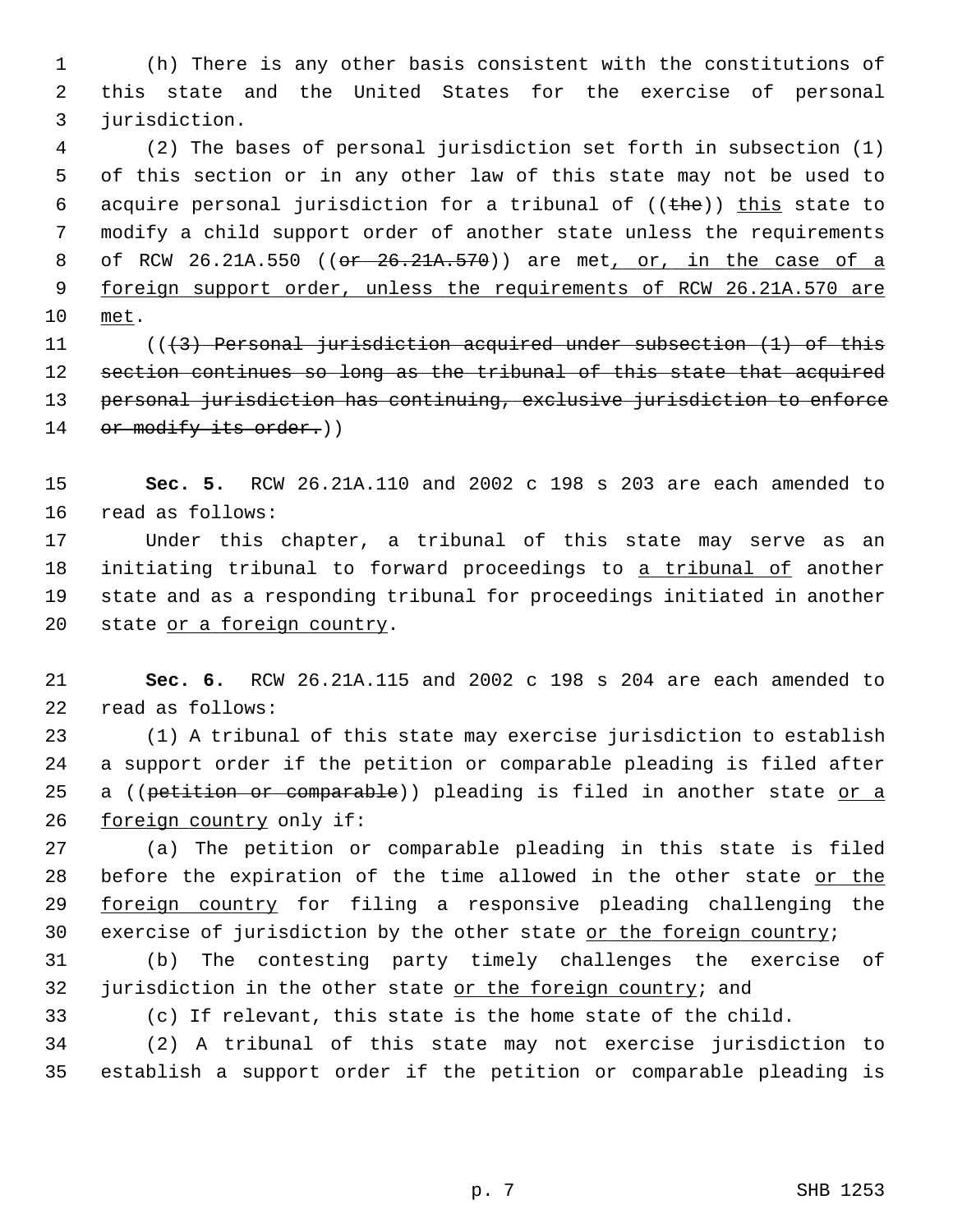1 (h) There is any other basis consistent with the constitutions of 2 this state and the United States for the exercise of personal 3 jurisdiction.

 4 (2) The bases of personal jurisdiction set forth in subsection (1) 5 of this section or in any other law of this state may not be used to 6 acquire personal jurisdiction for a tribunal of  $((the)$ ) this state to 7 modify a child support order of another state unless the requirements 8 of RCW 26.21A.550 ((or 26.21A.570)) are met, or, in the case of a 9 foreign support order, unless the requirements of RCW 26.21A.570 are 10 met.

11 (((3) Personal jurisdiction acquired under subsection (1) of this 12 section continues so long as the tribunal of this state that acquired 13 personal jurisdiction has continuing, exclusive jurisdiction to enforce 14 or modify its order.))

15 **Sec. 5.** RCW 26.21A.110 and 2002 c 198 s 203 are each amended to 16 read as follows:

17 Under this chapter, a tribunal of this state may serve as an 18 initiating tribunal to forward proceedings to a tribunal of another 19 state and as a responding tribunal for proceedings initiated in another 20 state or a foreign country.

21 **Sec. 6.** RCW 26.21A.115 and 2002 c 198 s 204 are each amended to 22 read as follows:

23 (1) A tribunal of this state may exercise jurisdiction to establish 24 a support order if the petition or comparable pleading is filed after 25 a ((petition or comparable)) pleading is filed in another state or a 26 foreign country only if:

27 (a) The petition or comparable pleading in this state is filed 28 before the expiration of the time allowed in the other state or the 29 foreign country for filing a responsive pleading challenging the 30 exercise of jurisdiction by the other state or the foreign country;

31 (b) The contesting party timely challenges the exercise of 32 jurisdiction in the other state or the foreign country; and

33 (c) If relevant, this state is the home state of the child.

34 (2) A tribunal of this state may not exercise jurisdiction to 35 establish a support order if the petition or comparable pleading is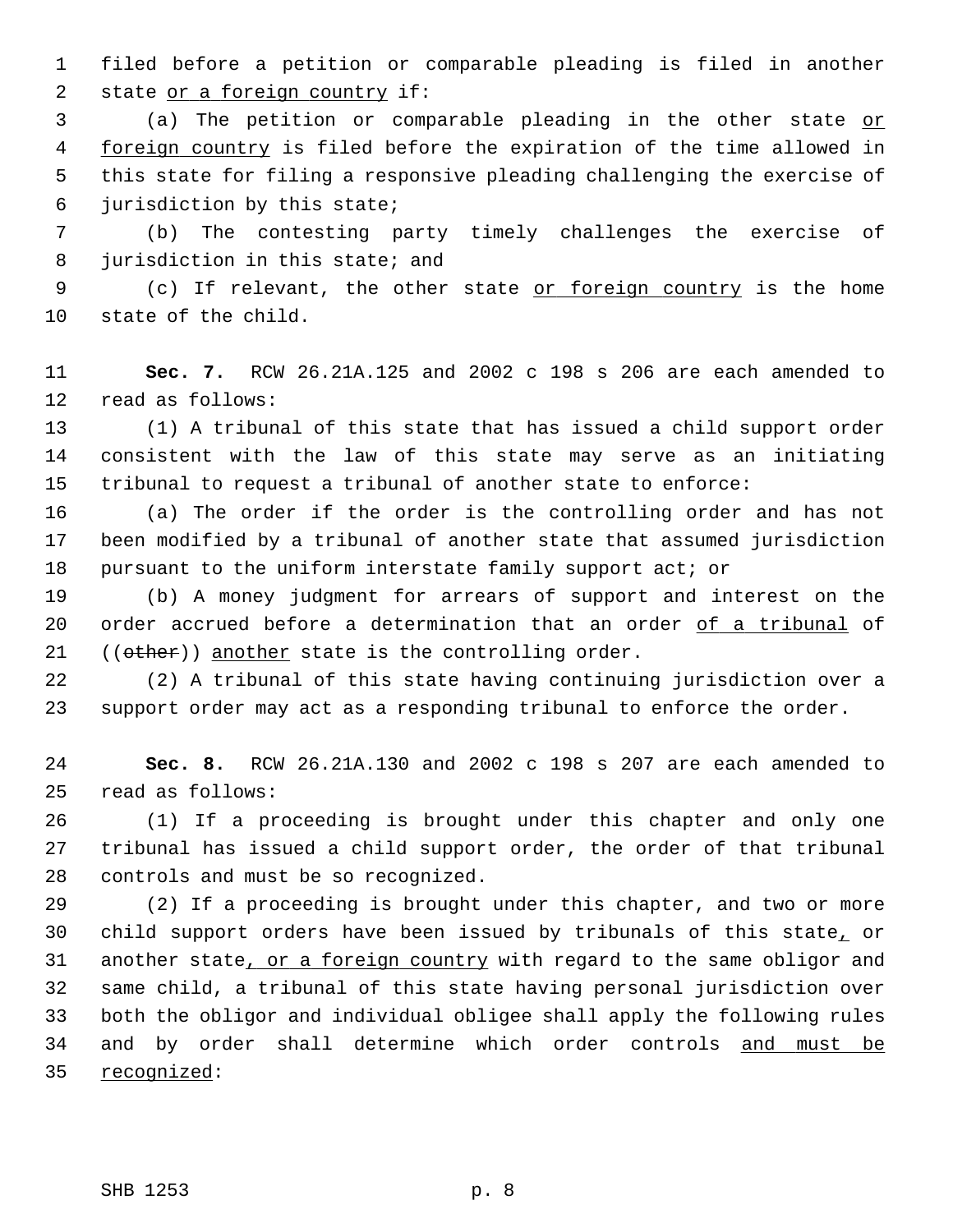1 filed before a petition or comparable pleading is filed in another 2 state or a foreign country if:

 3 (a) The petition or comparable pleading in the other state or 4 foreign country is filed before the expiration of the time allowed in 5 this state for filing a responsive pleading challenging the exercise of 6 jurisdiction by this state;

 7 (b) The contesting party timely challenges the exercise of 8 jurisdiction in this state; and

 9 (c) If relevant, the other state or foreign country is the home 10 state of the child.

11 **Sec. 7.** RCW 26.21A.125 and 2002 c 198 s 206 are each amended to 12 read as follows:

13 (1) A tribunal of this state that has issued a child support order 14 consistent with the law of this state may serve as an initiating 15 tribunal to request a tribunal of another state to enforce:

16 (a) The order if the order is the controlling order and has not 17 been modified by a tribunal of another state that assumed jurisdiction 18 pursuant to the uniform interstate family support act; or

19 (b) A money judgment for arrears of support and interest on the 20 order accrued before a determination that an order of a tribunal of 21  $((other))$  another state is the controlling order.

22 (2) A tribunal of this state having continuing jurisdiction over a 23 support order may act as a responding tribunal to enforce the order.

24 **Sec. 8.** RCW 26.21A.130 and 2002 c 198 s 207 are each amended to 25 read as follows:

26 (1) If a proceeding is brought under this chapter and only one 27 tribunal has issued a child support order, the order of that tribunal 28 controls and must be so recognized.

29 (2) If a proceeding is brought under this chapter, and two or more 30 child support orders have been issued by tribunals of this state, or 31 another state, or a foreign country with regard to the same obligor and 32 same child, a tribunal of this state having personal jurisdiction over 33 both the obligor and individual obligee shall apply the following rules 34 and by order shall determine which order controls and must be 35 recognized: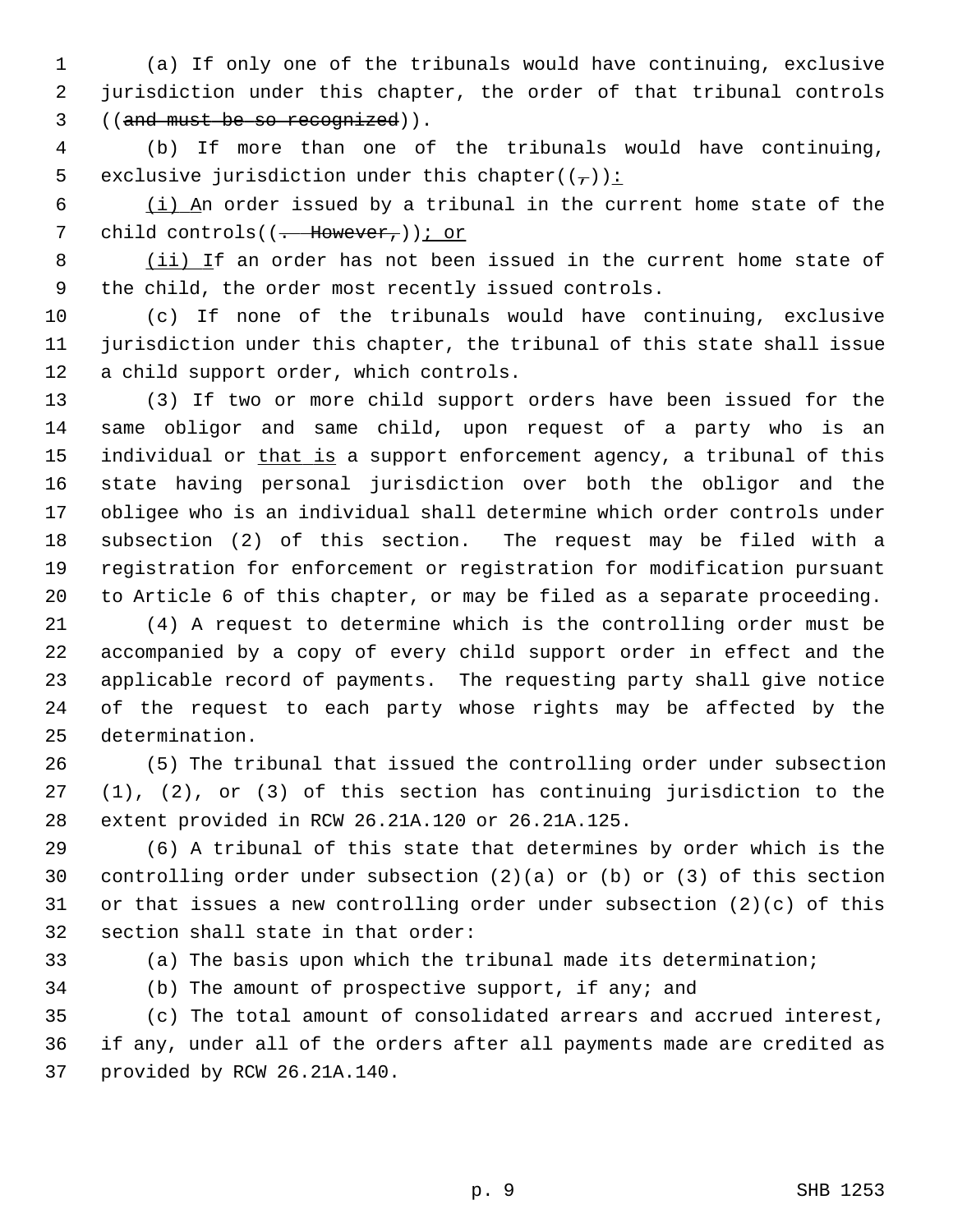1 (a) If only one of the tribunals would have continuing, exclusive 2 jurisdiction under this chapter, the order of that tribunal controls 3 ((and must be so recognized)).

 4 (b) If more than one of the tribunals would have continuing, 5 exclusive jurisdiction under this chapter( $(\frac{\tau}{l})$ ):

 6 (i) An order issued by a tribunal in the current home state of the 7 child controls((<del>. However,</del>)); or

 8 (ii) If an order has not been issued in the current home state of 9 the child, the order most recently issued controls.

10 (c) If none of the tribunals would have continuing, exclusive 11 jurisdiction under this chapter, the tribunal of this state shall issue 12 a child support order, which controls.

13 (3) If two or more child support orders have been issued for the 14 same obligor and same child, upon request of a party who is an 15 individual or that is a support enforcement agency, a tribunal of this 16 state having personal jurisdiction over both the obligor and the 17 obligee who is an individual shall determine which order controls under 18 subsection (2) of this section. The request may be filed with a 19 registration for enforcement or registration for modification pursuant 20 to Article 6 of this chapter, or may be filed as a separate proceeding.

21 (4) A request to determine which is the controlling order must be 22 accompanied by a copy of every child support order in effect and the 23 applicable record of payments. The requesting party shall give notice 24 of the request to each party whose rights may be affected by the 25 determination.

26 (5) The tribunal that issued the controlling order under subsection 27 (1), (2), or (3) of this section has continuing jurisdiction to the 28 extent provided in RCW 26.21A.120 or 26.21A.125.

29 (6) A tribunal of this state that determines by order which is the 30 controlling order under subsection (2)(a) or (b) or (3) of this section 31 or that issues a new controlling order under subsection (2)(c) of this 32 section shall state in that order:

33 (a) The basis upon which the tribunal made its determination;

34 (b) The amount of prospective support, if any; and

35 (c) The total amount of consolidated arrears and accrued interest, 36 if any, under all of the orders after all payments made are credited as 37 provided by RCW 26.21A.140.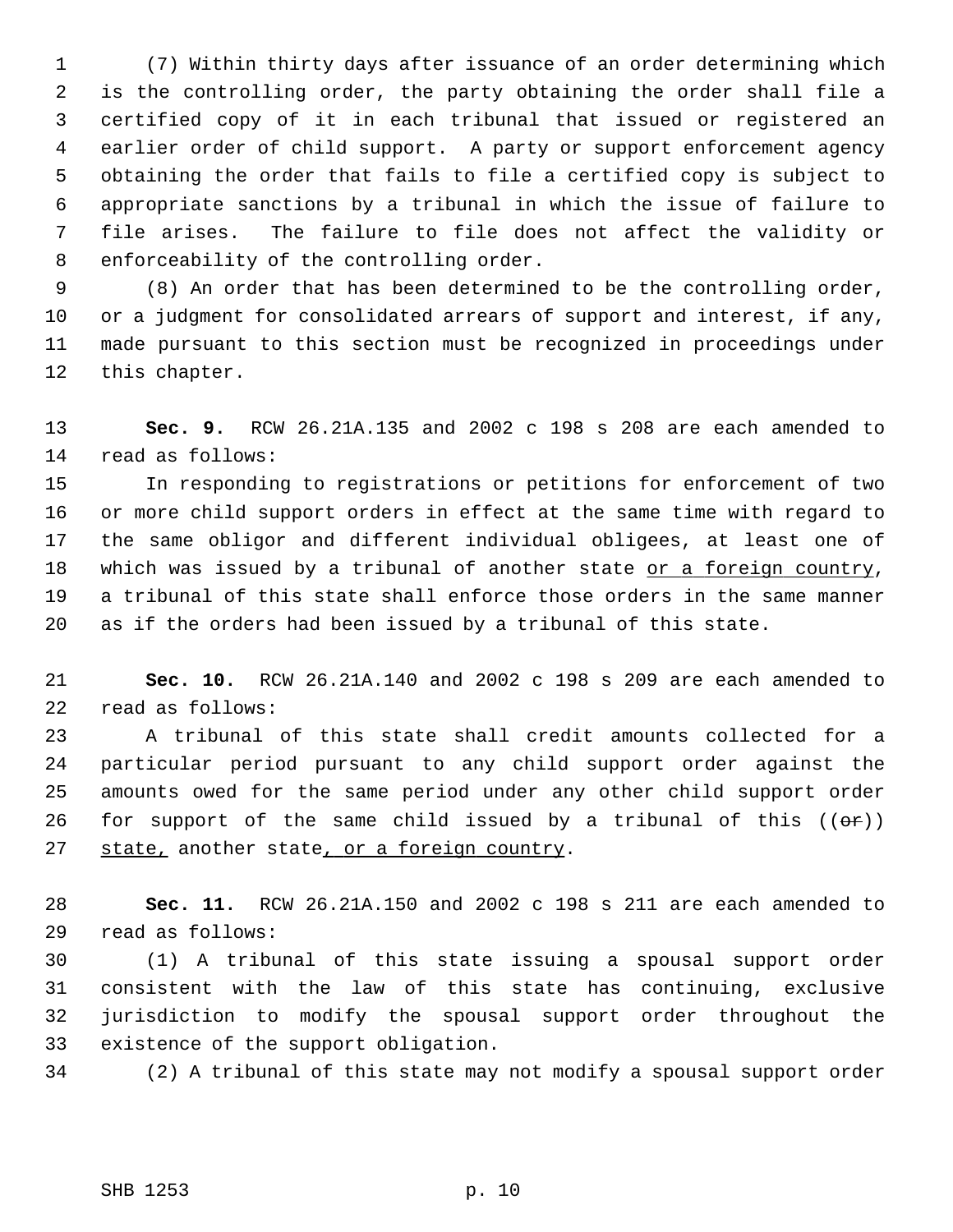1 (7) Within thirty days after issuance of an order determining which 2 is the controlling order, the party obtaining the order shall file a 3 certified copy of it in each tribunal that issued or registered an 4 earlier order of child support. A party or support enforcement agency 5 obtaining the order that fails to file a certified copy is subject to 6 appropriate sanctions by a tribunal in which the issue of failure to 7 file arises. The failure to file does not affect the validity or 8 enforceability of the controlling order.

 9 (8) An order that has been determined to be the controlling order, 10 or a judgment for consolidated arrears of support and interest, if any, 11 made pursuant to this section must be recognized in proceedings under 12 this chapter.

13 **Sec. 9.** RCW 26.21A.135 and 2002 c 198 s 208 are each amended to 14 read as follows:

15 In responding to registrations or petitions for enforcement of two 16 or more child support orders in effect at the same time with regard to 17 the same obligor and different individual obligees, at least one of 18 which was issued by a tribunal of another state or a foreign country, 19 a tribunal of this state shall enforce those orders in the same manner 20 as if the orders had been issued by a tribunal of this state.

21 **Sec. 10.** RCW 26.21A.140 and 2002 c 198 s 209 are each amended to 22 read as follows:

23 A tribunal of this state shall credit amounts collected for a 24 particular period pursuant to any child support order against the 25 amounts owed for the same period under any other child support order 26 for support of the same child issued by a tribunal of this  $((e\rightarrow e))$ 27 state, another state, or a foreign country.

28 **Sec. 11.** RCW 26.21A.150 and 2002 c 198 s 211 are each amended to 29 read as follows:

30 (1) A tribunal of this state issuing a spousal support order 31 consistent with the law of this state has continuing, exclusive 32 jurisdiction to modify the spousal support order throughout the 33 existence of the support obligation.

34 (2) A tribunal of this state may not modify a spousal support order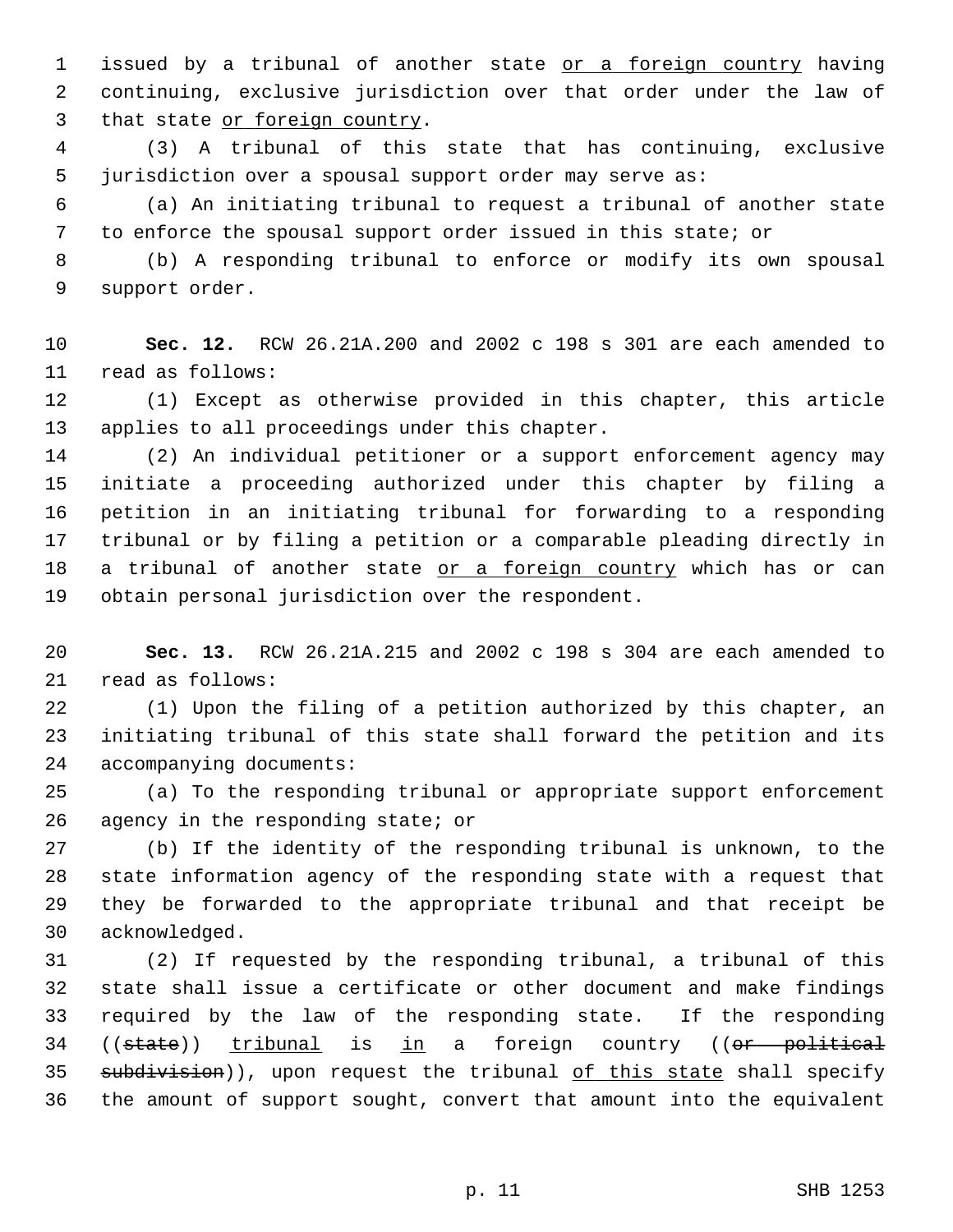1 issued by a tribunal of another state or a foreign country having 2 continuing, exclusive jurisdiction over that order under the law of 3 that state or foreign country.

 4 (3) A tribunal of this state that has continuing, exclusive 5 jurisdiction over a spousal support order may serve as:

 6 (a) An initiating tribunal to request a tribunal of another state 7 to enforce the spousal support order issued in this state; or

 8 (b) A responding tribunal to enforce or modify its own spousal 9 support order.

10 **Sec. 12.** RCW 26.21A.200 and 2002 c 198 s 301 are each amended to 11 read as follows:

12 (1) Except as otherwise provided in this chapter, this article 13 applies to all proceedings under this chapter.

14 (2) An individual petitioner or a support enforcement agency may 15 initiate a proceeding authorized under this chapter by filing a 16 petition in an initiating tribunal for forwarding to a responding 17 tribunal or by filing a petition or a comparable pleading directly in 18 a tribunal of another state or a foreign country which has or can 19 obtain personal jurisdiction over the respondent.

20 **Sec. 13.** RCW 26.21A.215 and 2002 c 198 s 304 are each amended to 21 read as follows:

22 (1) Upon the filing of a petition authorized by this chapter, an 23 initiating tribunal of this state shall forward the petition and its 24 accompanying documents:

25 (a) To the responding tribunal or appropriate support enforcement 26 agency in the responding state; or

27 (b) If the identity of the responding tribunal is unknown, to the 28 state information agency of the responding state with a request that 29 they be forwarded to the appropriate tribunal and that receipt be 30 acknowledged.

31 (2) If requested by the responding tribunal, a tribunal of this 32 state shall issue a certificate or other document and make findings 33 required by the law of the responding state. If the responding 34 ((state)) tribunal is in a foreign country ((or political 35 subdivision)), upon request the tribunal of this state shall specify 36 the amount of support sought, convert that amount into the equivalent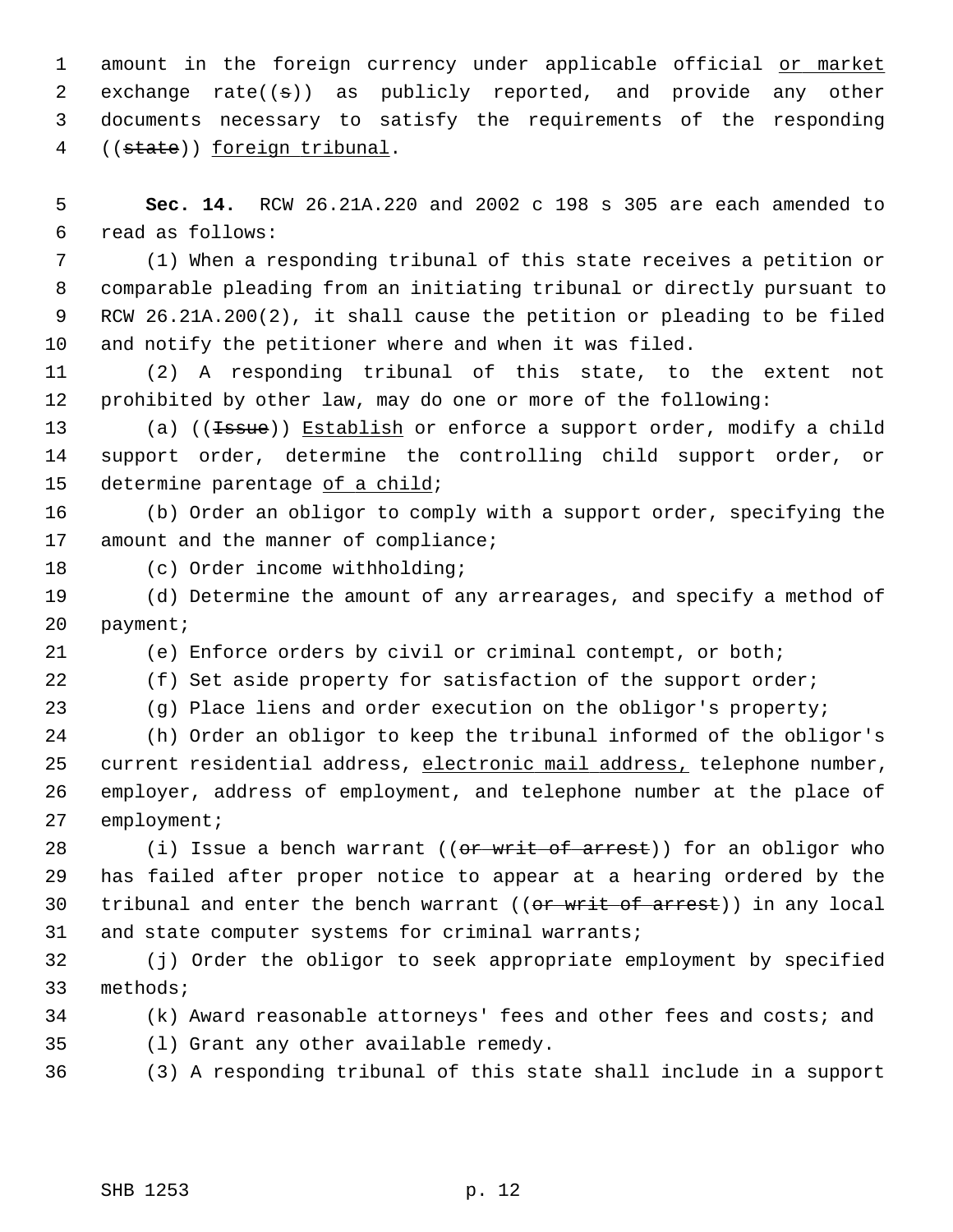1 amount in the foreign currency under applicable official or market 2 exchange rate( $(\pm)$ ) as publicly reported, and provide any other 3 documents necessary to satisfy the requirements of the responding 4 ((state)) foreign tribunal.

 5 **Sec. 14.** RCW 26.21A.220 and 2002 c 198 s 305 are each amended to 6 read as follows:

 7 (1) When a responding tribunal of this state receives a petition or 8 comparable pleading from an initiating tribunal or directly pursuant to 9 RCW 26.21A.200(2), it shall cause the petition or pleading to be filed 10 and notify the petitioner where and when it was filed.

11 (2) A responding tribunal of this state, to the extent not 12 prohibited by other law, may do one or more of the following:

13 (a) ((<del>Issue</del>)) Establish or enforce a support order, modify a child 14 support order, determine the controlling child support order, or 15 determine parentage of a child;

16 (b) Order an obligor to comply with a support order, specifying the 17 amount and the manner of compliance;

18 (c) Order income withholding;

19 (d) Determine the amount of any arrearages, and specify a method of 20 payment;

21 (e) Enforce orders by civil or criminal contempt, or both;

22 (f) Set aside property for satisfaction of the support order;

23 (g) Place liens and order execution on the obligor's property;

24 (h) Order an obligor to keep the tribunal informed of the obligor's 25 current residential address, electronic mail address, telephone number, 26 employer, address of employment, and telephone number at the place of 27 employment;

28 (i) Issue a bench warrant ((or writ of arrest)) for an obligor who 29 has failed after proper notice to appear at a hearing ordered by the 30 tribunal and enter the bench warrant ((or writ of arrest)) in any local 31 and state computer systems for criminal warrants;

32 (j) Order the obligor to seek appropriate employment by specified 33 methods;

34 (k) Award reasonable attorneys' fees and other fees and costs; and

35 (l) Grant any other available remedy.

36 (3) A responding tribunal of this state shall include in a support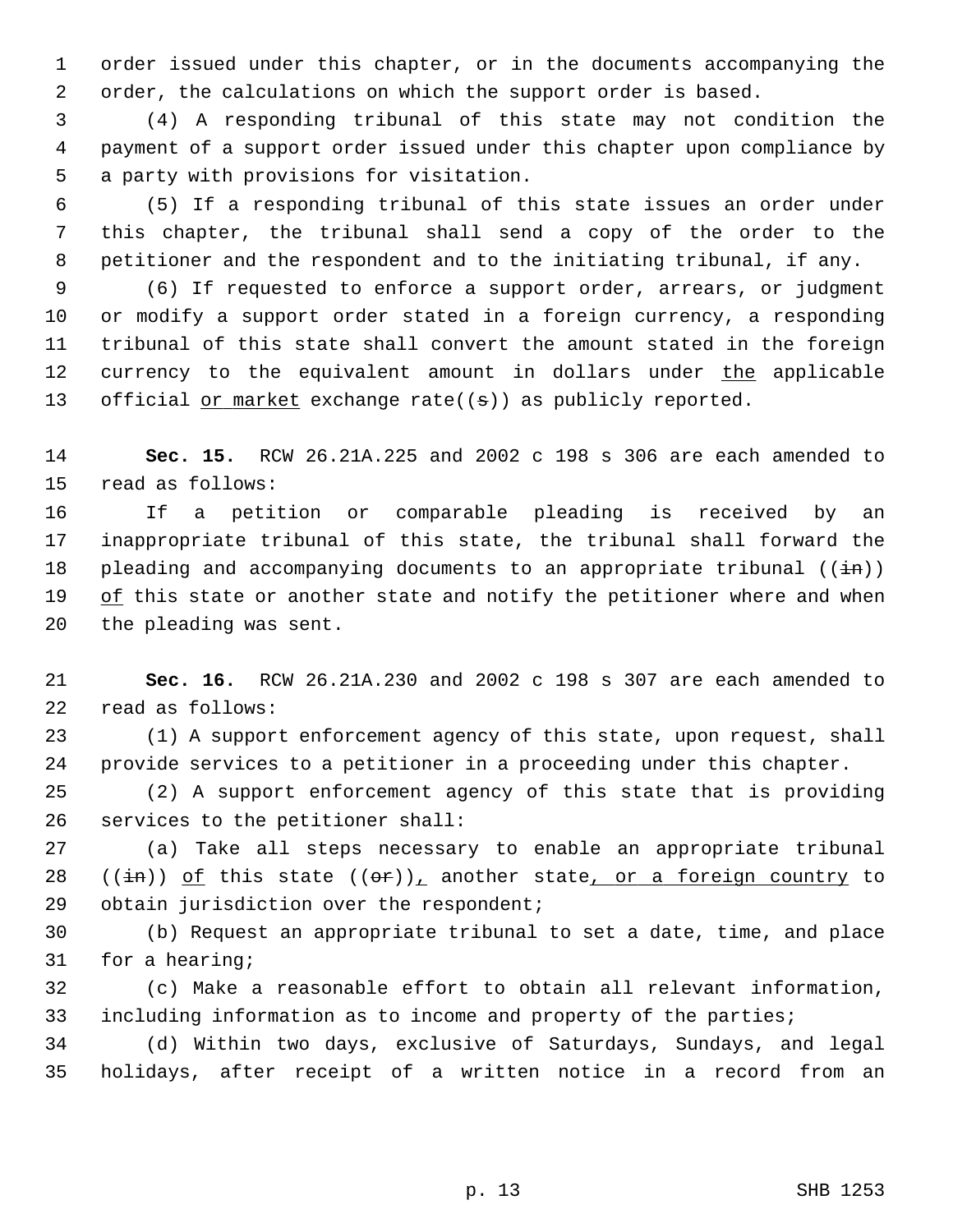1 order issued under this chapter, or in the documents accompanying the 2 order, the calculations on which the support order is based.

 3 (4) A responding tribunal of this state may not condition the 4 payment of a support order issued under this chapter upon compliance by 5 a party with provisions for visitation.

 6 (5) If a responding tribunal of this state issues an order under 7 this chapter, the tribunal shall send a copy of the order to the 8 petitioner and the respondent and to the initiating tribunal, if any.

 9 (6) If requested to enforce a support order, arrears, or judgment 10 or modify a support order stated in a foreign currency, a responding 11 tribunal of this state shall convert the amount stated in the foreign 12 currency to the equivalent amount in dollars under the applicable 13 official or market exchange rate( $(\sigma)$ ) as publicly reported.

14 **Sec. 15.** RCW 26.21A.225 and 2002 c 198 s 306 are each amended to 15 read as follows:

16 If a petition or comparable pleading is received by an 17 inappropriate tribunal of this state, the tribunal shall forward the 18 pleading and accompanying documents to an appropriate tribunal  $((\frac{1}{1n}))$ 19 of this state or another state and notify the petitioner where and when 20 the pleading was sent.

21 **Sec. 16.** RCW 26.21A.230 and 2002 c 198 s 307 are each amended to 22 read as follows:

23 (1) A support enforcement agency of this state, upon request, shall 24 provide services to a petitioner in a proceeding under this chapter.

25 (2) A support enforcement agency of this state that is providing 26 services to the petitioner shall:

27 (a) Take all steps necessary to enable an appropriate tribunal 28 (( $\pm$ n)) of this state ( $(\sigma$ r)), another state, or a foreign country to 29 obtain jurisdiction over the respondent;

30 (b) Request an appropriate tribunal to set a date, time, and place 31 for a hearing;

32 (c) Make a reasonable effort to obtain all relevant information, 33 including information as to income and property of the parties;

34 (d) Within two days, exclusive of Saturdays, Sundays, and legal 35 holidays, after receipt of a written notice in a record from an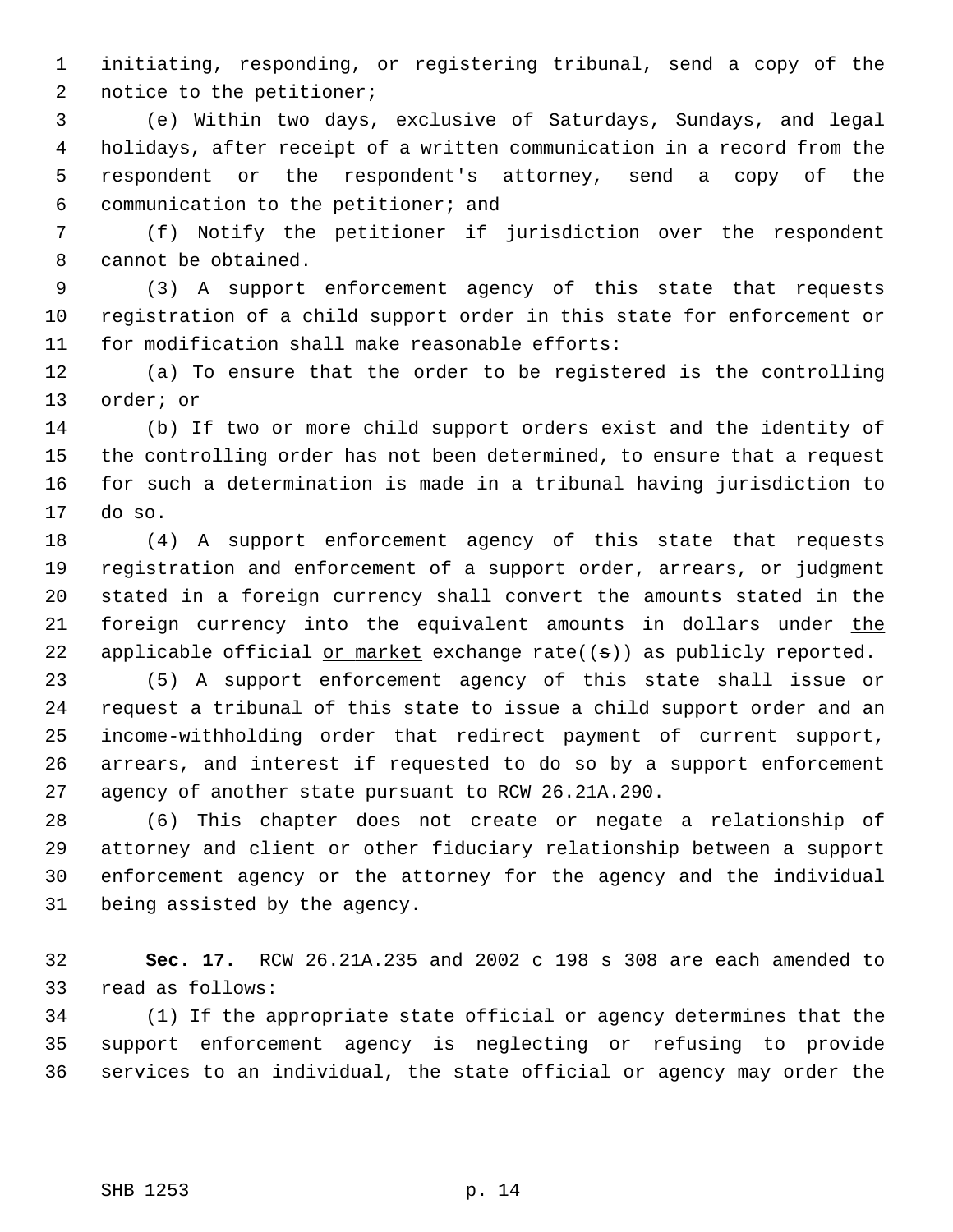1 initiating, responding, or registering tribunal, send a copy of the 2 notice to the petitioner;

 3 (e) Within two days, exclusive of Saturdays, Sundays, and legal 4 holidays, after receipt of a written communication in a record from the 5 respondent or the respondent's attorney, send a copy of the 6 communication to the petitioner; and

 7 (f) Notify the petitioner if jurisdiction over the respondent 8 cannot be obtained.

 9 (3) A support enforcement agency of this state that requests 10 registration of a child support order in this state for enforcement or 11 for modification shall make reasonable efforts:

12 (a) To ensure that the order to be registered is the controlling 13 order; or

14 (b) If two or more child support orders exist and the identity of 15 the controlling order has not been determined, to ensure that a request 16 for such a determination is made in a tribunal having jurisdiction to 17 do so.

18 (4) A support enforcement agency of this state that requests 19 registration and enforcement of a support order, arrears, or judgment 20 stated in a foreign currency shall convert the amounts stated in the 21 foreign currency into the equivalent amounts in dollars under the 22 applicable official or market exchange rate( $(\pm)$ ) as publicly reported.

23 (5) A support enforcement agency of this state shall issue or 24 request a tribunal of this state to issue a child support order and an 25 income-withholding order that redirect payment of current support, 26 arrears, and interest if requested to do so by a support enforcement 27 agency of another state pursuant to RCW 26.21A.290.

28 (6) This chapter does not create or negate a relationship of 29 attorney and client or other fiduciary relationship between a support 30 enforcement agency or the attorney for the agency and the individual 31 being assisted by the agency.

32 **Sec. 17.** RCW 26.21A.235 and 2002 c 198 s 308 are each amended to 33 read as follows:

34 (1) If the appropriate state official or agency determines that the 35 support enforcement agency is neglecting or refusing to provide 36 services to an individual, the state official or agency may order the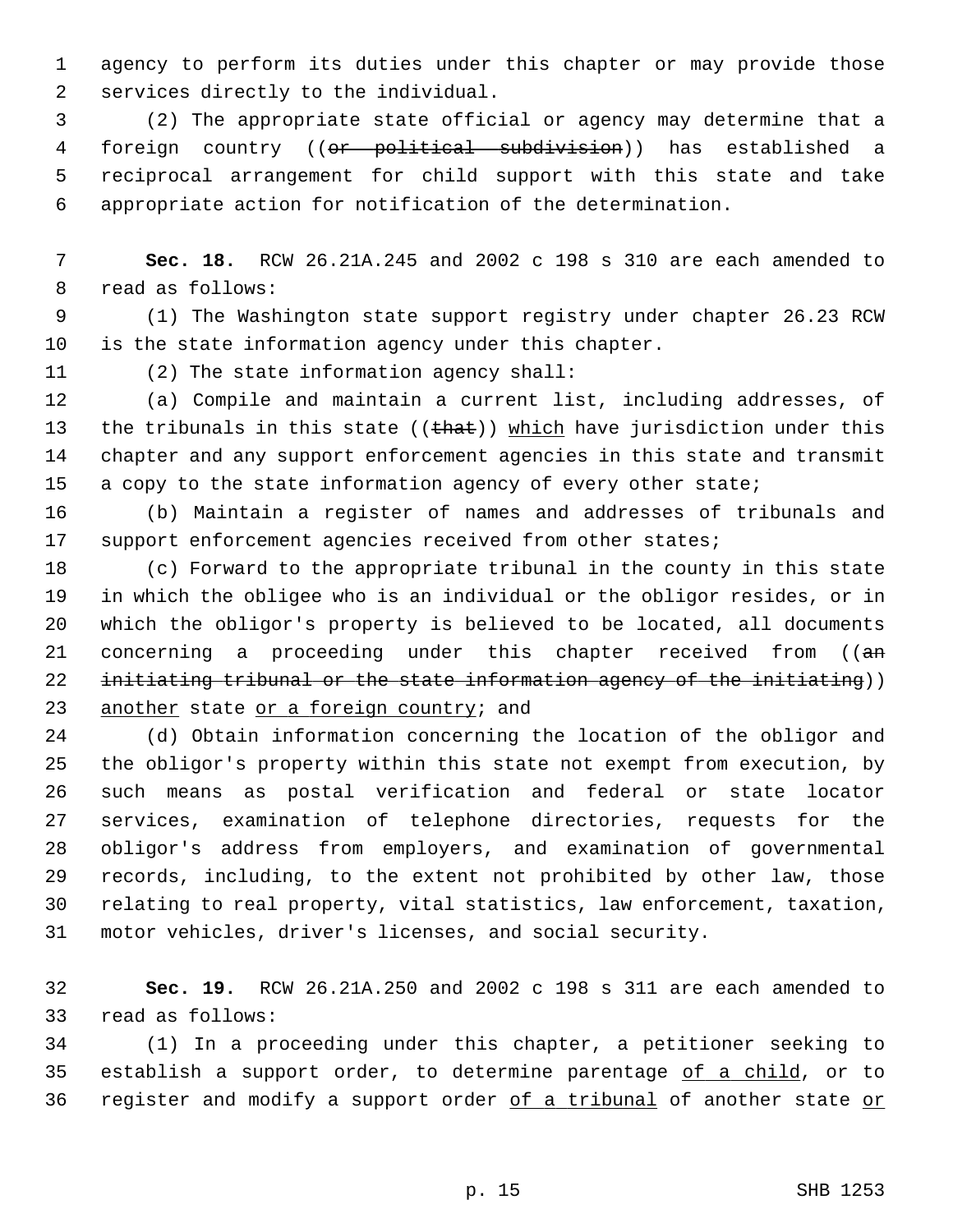1 agency to perform its duties under this chapter or may provide those 2 services directly to the individual.

 3 (2) The appropriate state official or agency may determine that a 4 foreign country ((or political subdivision)) has established a 5 reciprocal arrangement for child support with this state and take 6 appropriate action for notification of the determination.

 7 **Sec. 18.** RCW 26.21A.245 and 2002 c 198 s 310 are each amended to 8 read as follows:

 9 (1) The Washington state support registry under chapter 26.23 RCW 10 is the state information agency under this chapter.

11 (2) The state information agency shall:

12 (a) Compile and maintain a current list, including addresses, of 13 the tribunals in this state (( $that)$ ) which have jurisdiction under this 14 chapter and any support enforcement agencies in this state and transmit 15 a copy to the state information agency of every other state;

16 (b) Maintain a register of names and addresses of tribunals and 17 support enforcement agencies received from other states;

18 (c) Forward to the appropriate tribunal in the county in this state 19 in which the obligee who is an individual or the obligor resides, or in 20 which the obligor's property is believed to be located, all documents 21 concerning a proceeding under this chapter received from ((an 22 initiating tribunal or the state information agency of the initiating)) 23 another state or a foreign country; and

24 (d) Obtain information concerning the location of the obligor and 25 the obligor's property within this state not exempt from execution, by 26 such means as postal verification and federal or state locator 27 services, examination of telephone directories, requests for the 28 obligor's address from employers, and examination of governmental 29 records, including, to the extent not prohibited by other law, those 30 relating to real property, vital statistics, law enforcement, taxation, 31 motor vehicles, driver's licenses, and social security.

32 **Sec. 19.** RCW 26.21A.250 and 2002 c 198 s 311 are each amended to 33 read as follows:

34 (1) In a proceeding under this chapter, a petitioner seeking to 35 establish a support order, to determine parentage of a child, or to 36 register and modify a support order of a tribunal of another state or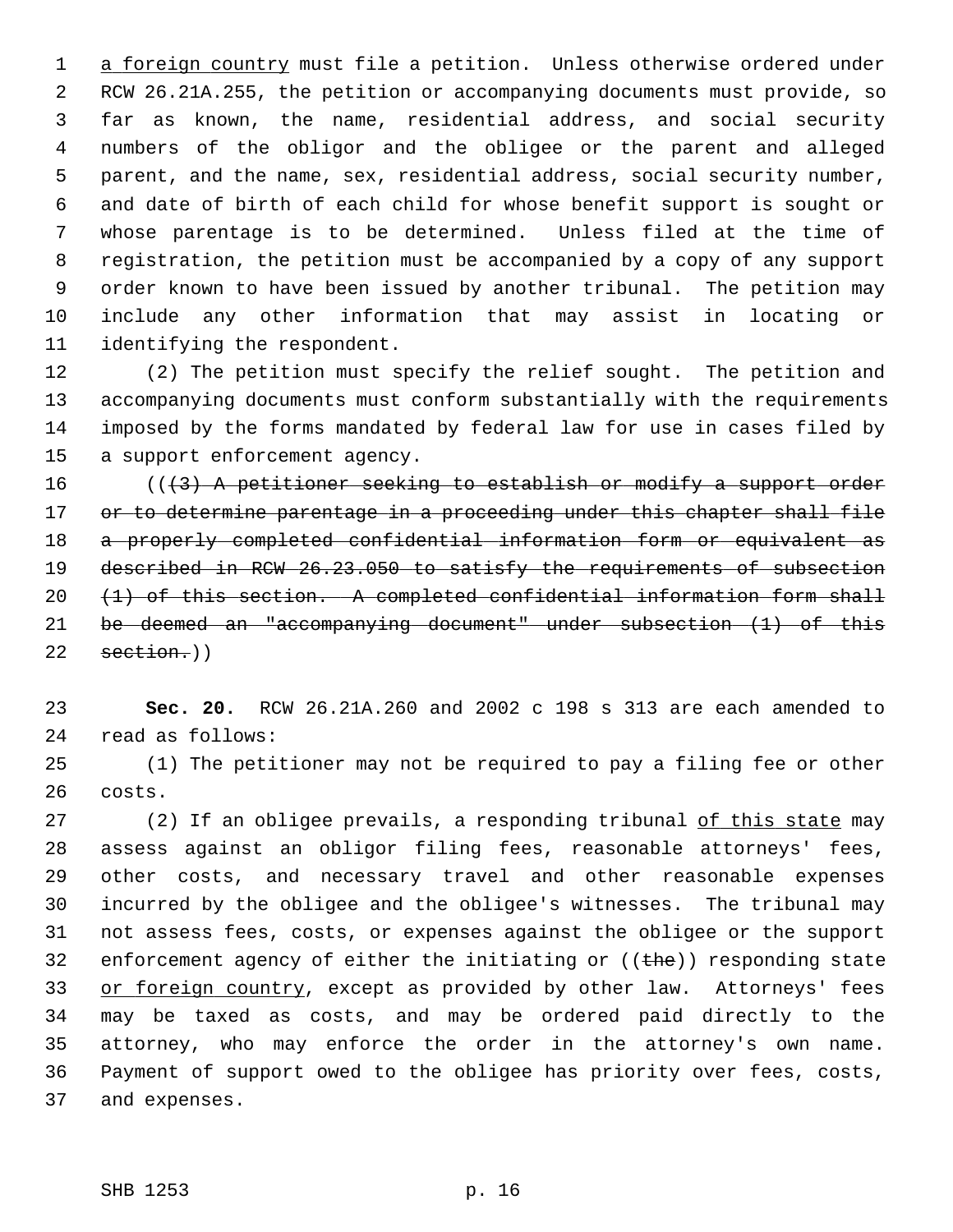1 a foreign country must file a petition. Unless otherwise ordered under 2 RCW 26.21A.255, the petition or accompanying documents must provide, so 3 far as known, the name, residential address, and social security 4 numbers of the obligor and the obligee or the parent and alleged 5 parent, and the name, sex, residential address, social security number, 6 and date of birth of each child for whose benefit support is sought or 7 whose parentage is to be determined. Unless filed at the time of 8 registration, the petition must be accompanied by a copy of any support 9 order known to have been issued by another tribunal. The petition may 10 include any other information that may assist in locating or 11 identifying the respondent.

12 (2) The petition must specify the relief sought. The petition and 13 accompanying documents must conform substantially with the requirements 14 imposed by the forms mandated by federal law for use in cases filed by 15 a support enforcement agency.

 $((3)$  A petitioner seeking to establish or modify a support order 17 or to determine parentage in a proceeding under this chapter shall file a properly completed confidential information form or equivalent as described in RCW 26.23.050 to satisfy the requirements of subsection  $(1)$  of this section. A completed confidential information form shall be deemed an "accompanying document" under subsection (1) of this section.)

23 **Sec. 20.** RCW 26.21A.260 and 2002 c 198 s 313 are each amended to 24 read as follows:

25 (1) The petitioner may not be required to pay a filing fee or other 26 costs.

27 (2) If an obligee prevails, a responding tribunal of this state may 28 assess against an obligor filing fees, reasonable attorneys' fees, 29 other costs, and necessary travel and other reasonable expenses 30 incurred by the obligee and the obligee's witnesses. The tribunal may 31 not assess fees, costs, or expenses against the obligee or the support 32 enforcement agency of either the initiating or  $((the))$  responding state 33 or foreign country, except as provided by other law. Attorneys' fees 34 may be taxed as costs, and may be ordered paid directly to the 35 attorney, who may enforce the order in the attorney's own name. 36 Payment of support owed to the obligee has priority over fees, costs, 37 and expenses.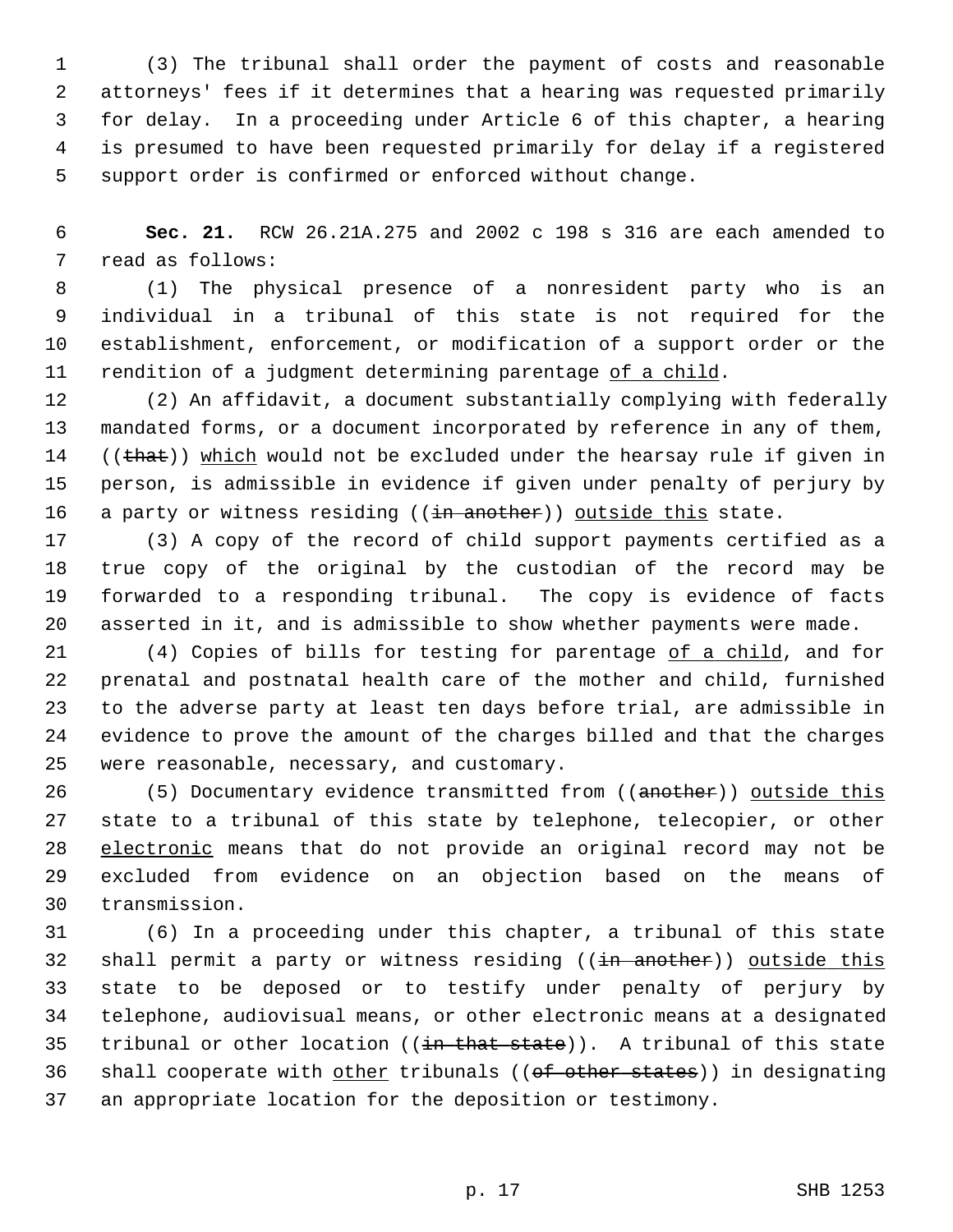1 (3) The tribunal shall order the payment of costs and reasonable 2 attorneys' fees if it determines that a hearing was requested primarily 3 for delay. In a proceeding under Article 6 of this chapter, a hearing 4 is presumed to have been requested primarily for delay if a registered 5 support order is confirmed or enforced without change.

 6 **Sec. 21.** RCW 26.21A.275 and 2002 c 198 s 316 are each amended to 7 read as follows:

 8 (1) The physical presence of a nonresident party who is an 9 individual in a tribunal of this state is not required for the 10 establishment, enforcement, or modification of a support order or the 11 rendition of a judgment determining parentage of a child.

12 (2) An affidavit, a document substantially complying with federally 13 mandated forms, or a document incorporated by reference in any of them, 14  $((that))$  which would not be excluded under the hearsay rule if given in 15 person, is admissible in evidence if given under penalty of perjury by 16 a party or witness residing ((in another)) outside this state.

17 (3) A copy of the record of child support payments certified as a 18 true copy of the original by the custodian of the record may be 19 forwarded to a responding tribunal. The copy is evidence of facts 20 asserted in it, and is admissible to show whether payments were made.

21 (4) Copies of bills for testing for parentage of a child, and for 22 prenatal and postnatal health care of the mother and child, furnished 23 to the adverse party at least ten days before trial, are admissible in 24 evidence to prove the amount of the charges billed and that the charges 25 were reasonable, necessary, and customary.

26 (5) Documentary evidence transmitted from ((another)) outside this 27 state to a tribunal of this state by telephone, telecopier, or other 28 electronic means that do not provide an original record may not be 29 excluded from evidence on an objection based on the means of 30 transmission.

31 (6) In a proceeding under this chapter, a tribunal of this state 32 shall permit a party or witness residing ((in another)) outside this 33 state to be deposed or to testify under penalty of perjury by 34 telephone, audiovisual means, or other electronic means at a designated 35 tribunal or other location  $((\frac{in}{{\text{that state}}}))$ . A tribunal of this state 36 shall cooperate with other tribunals ((of other states)) in designating 37 an appropriate location for the deposition or testimony.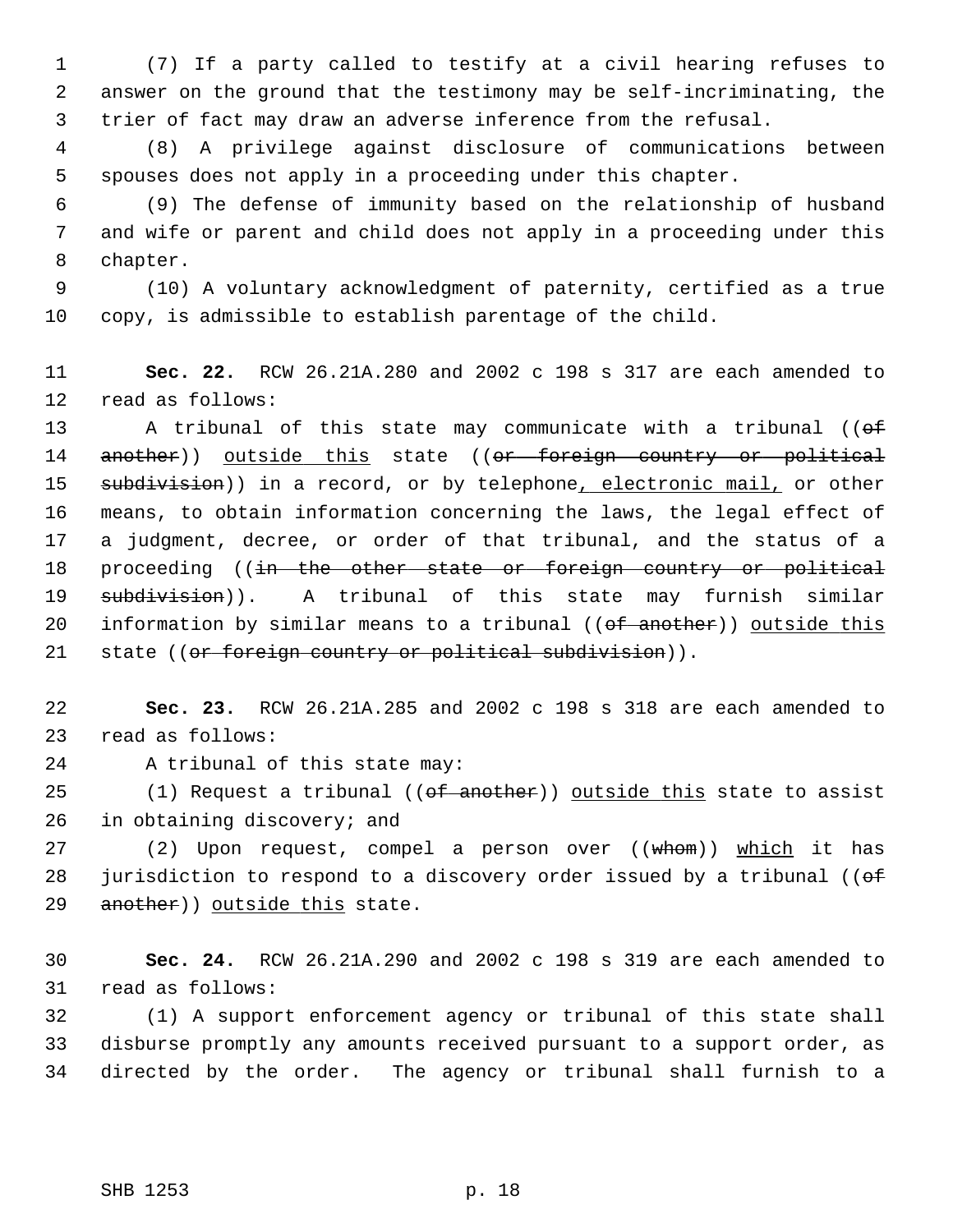1 (7) If a party called to testify at a civil hearing refuses to 2 answer on the ground that the testimony may be self-incriminating, the 3 trier of fact may draw an adverse inference from the refusal.

 4 (8) A privilege against disclosure of communications between 5 spouses does not apply in a proceeding under this chapter.

 6 (9) The defense of immunity based on the relationship of husband 7 and wife or parent and child does not apply in a proceeding under this 8 chapter.

 9 (10) A voluntary acknowledgment of paternity, certified as a true 10 copy, is admissible to establish parentage of the child.

11 **Sec. 22.** RCW 26.21A.280 and 2002 c 198 s 317 are each amended to 12 read as follows:

13 A tribunal of this state may communicate with a tribunal ((of 14 another)) outside this state ((or foreign country or political 15 subdivision)) in a record, or by telephone, electronic mail, or other 16 means, to obtain information concerning the laws, the legal effect of 17 a judgment, decree, or order of that tribunal, and the status of a 18 proceeding ((in the other state or foreign country or political 19 subdivision)). A tribunal of this state may furnish similar 20 information by similar means to a tribunal ((of another)) outside this 21 state ((or foreign country or political subdivision)).

22 **Sec. 23.** RCW 26.21A.285 and 2002 c 198 s 318 are each amended to 23 read as follows:

24 A tribunal of this state may:

25 (1) Request a tribunal ((of another)) outside this state to assist 26 in obtaining discovery; and

27 (2) Upon request, compel a person over ((whom)) which it has 28 jurisdiction to respond to a discovery order issued by a tribunal ( $\theta$ f 29 another)) outside this state.

30 **Sec. 24.** RCW 26.21A.290 and 2002 c 198 s 319 are each amended to 31 read as follows:

32 (1) A support enforcement agency or tribunal of this state shall 33 disburse promptly any amounts received pursuant to a support order, as 34 directed by the order. The agency or tribunal shall furnish to a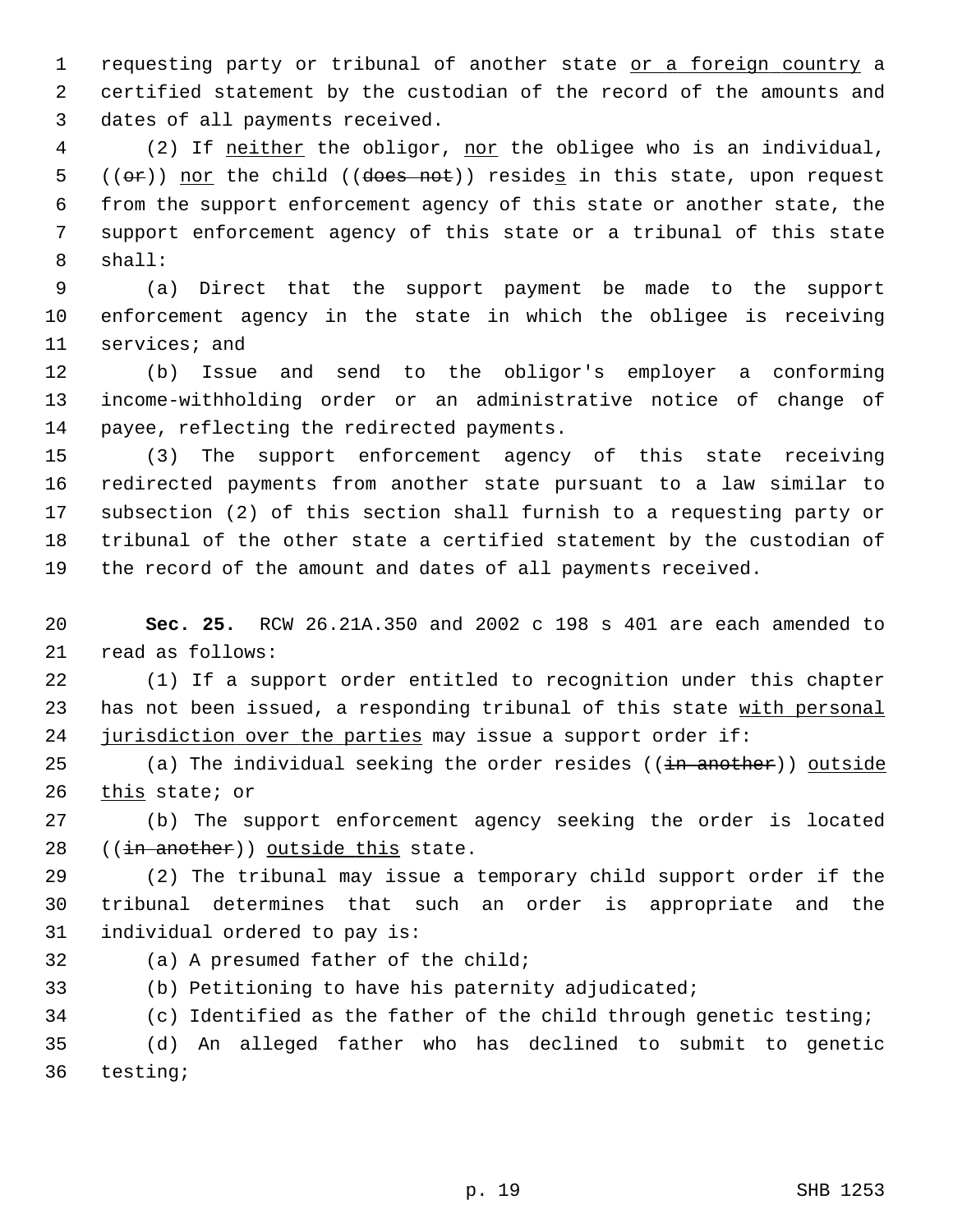1 requesting party or tribunal of another state or a foreign country a 2 certified statement by the custodian of the record of the amounts and 3 dates of all payments received.

 4 (2) If neither the obligor, nor the obligee who is an individual, 5 ( $(\Theta \hat{r})$ ) nor the child ( $(\Theta \hat{r})$ ) resides in this state, upon request 6 from the support enforcement agency of this state or another state, the 7 support enforcement agency of this state or a tribunal of this state 8 shall:

 9 (a) Direct that the support payment be made to the support 10 enforcement agency in the state in which the obligee is receiving 11 services; and

12 (b) Issue and send to the obligor's employer a conforming 13 income-withholding order or an administrative notice of change of 14 payee, reflecting the redirected payments.

15 (3) The support enforcement agency of this state receiving 16 redirected payments from another state pursuant to a law similar to 17 subsection (2) of this section shall furnish to a requesting party or 18 tribunal of the other state a certified statement by the custodian of 19 the record of the amount and dates of all payments received.

20 **Sec. 25.** RCW 26.21A.350 and 2002 c 198 s 401 are each amended to 21 read as follows:

22 (1) If a support order entitled to recognition under this chapter 23 has not been issued, a responding tribunal of this state with personal 24 jurisdiction over the parties may issue a support order if:

25 (a) The individual seeking the order resides  $((\frac{1}{10} + \frac{1}{10})$  outside 26 this state; or

27 (b) The support enforcement agency seeking the order is located 28  $((\frac{in another}{i})$  outside this state.

29 (2) The tribunal may issue a temporary child support order if the 30 tribunal determines that such an order is appropriate and the 31 individual ordered to pay is:

- 
- 32 (a) A presumed father of the child;
- 33 (b) Petitioning to have his paternity adjudicated;

34 (c) Identified as the father of the child through genetic testing;

35 (d) An alleged father who has declined to submit to genetic 36 testing;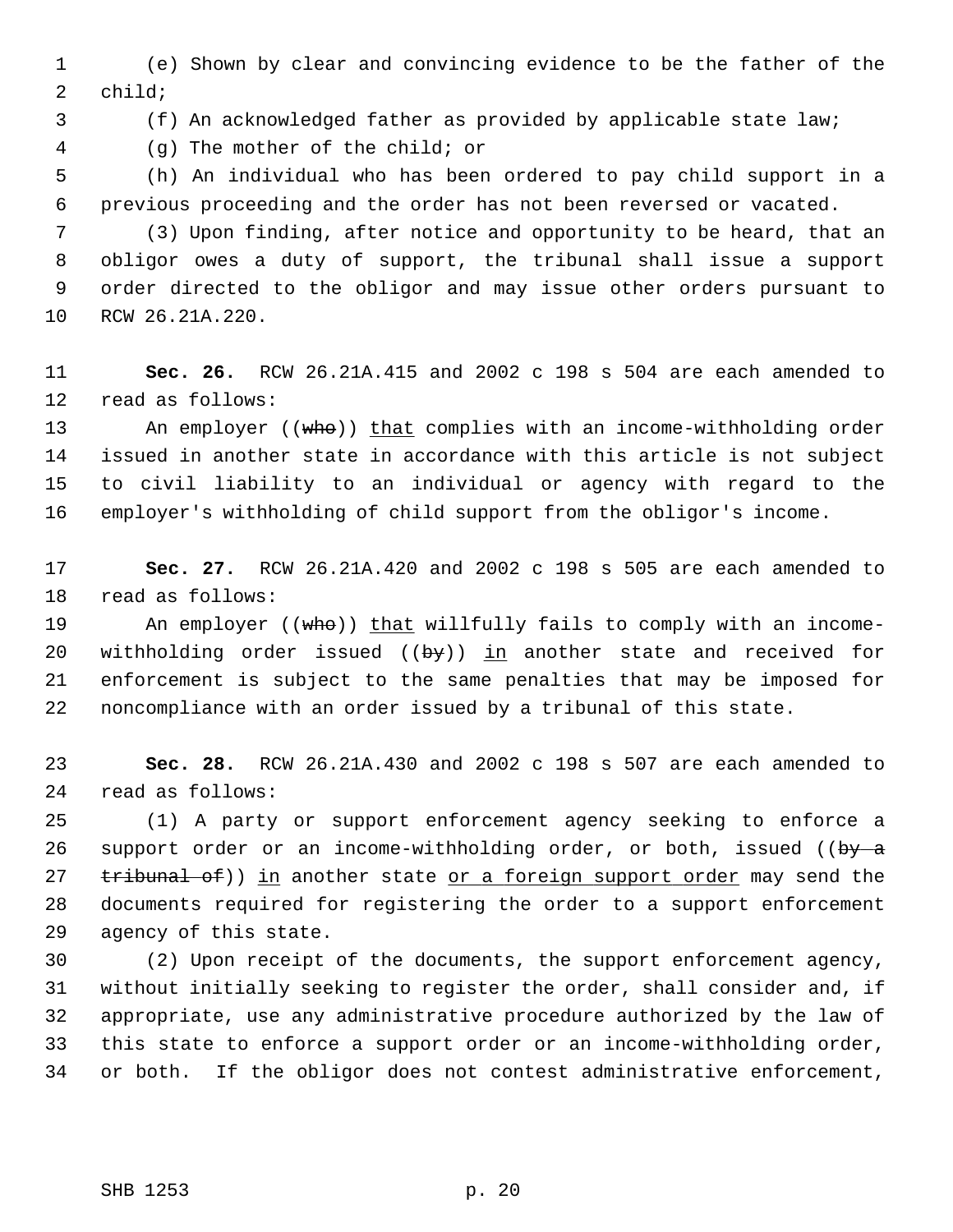1 (e) Shown by clear and convincing evidence to be the father of the 2 child;

3 (f) An acknowledged father as provided by applicable state law;

4 (g) The mother of the child; or

 5 (h) An individual who has been ordered to pay child support in a 6 previous proceeding and the order has not been reversed or vacated.

 7 (3) Upon finding, after notice and opportunity to be heard, that an 8 obligor owes a duty of support, the tribunal shall issue a support 9 order directed to the obligor and may issue other orders pursuant to 10 RCW 26.21A.220.

11 **Sec. 26.** RCW 26.21A.415 and 2002 c 198 s 504 are each amended to 12 read as follows:

13 An employer ((who)) that complies with an income-withholding order 14 issued in another state in accordance with this article is not subject 15 to civil liability to an individual or agency with regard to the 16 employer's withholding of child support from the obligor's income.

17 **Sec. 27.** RCW 26.21A.420 and 2002 c 198 s 505 are each amended to 18 read as follows:

19 An employer ((who)) that willfully fails to comply with an income-20 withholding order issued  $((by))$  in another state and received for 21 enforcement is subject to the same penalties that may be imposed for 22 noncompliance with an order issued by a tribunal of this state.

23 **Sec. 28.** RCW 26.21A.430 and 2002 c 198 s 507 are each amended to 24 read as follows:

25 (1) A party or support enforcement agency seeking to enforce a 26 support order or an income-withholding order, or both, issued (( $by - a$ ) 27 tribunal of)) in another state or a foreign support order may send the 28 documents required for registering the order to a support enforcement 29 agency of this state.

30 (2) Upon receipt of the documents, the support enforcement agency, 31 without initially seeking to register the order, shall consider and, if 32 appropriate, use any administrative procedure authorized by the law of 33 this state to enforce a support order or an income-withholding order, 34 or both. If the obligor does not contest administrative enforcement,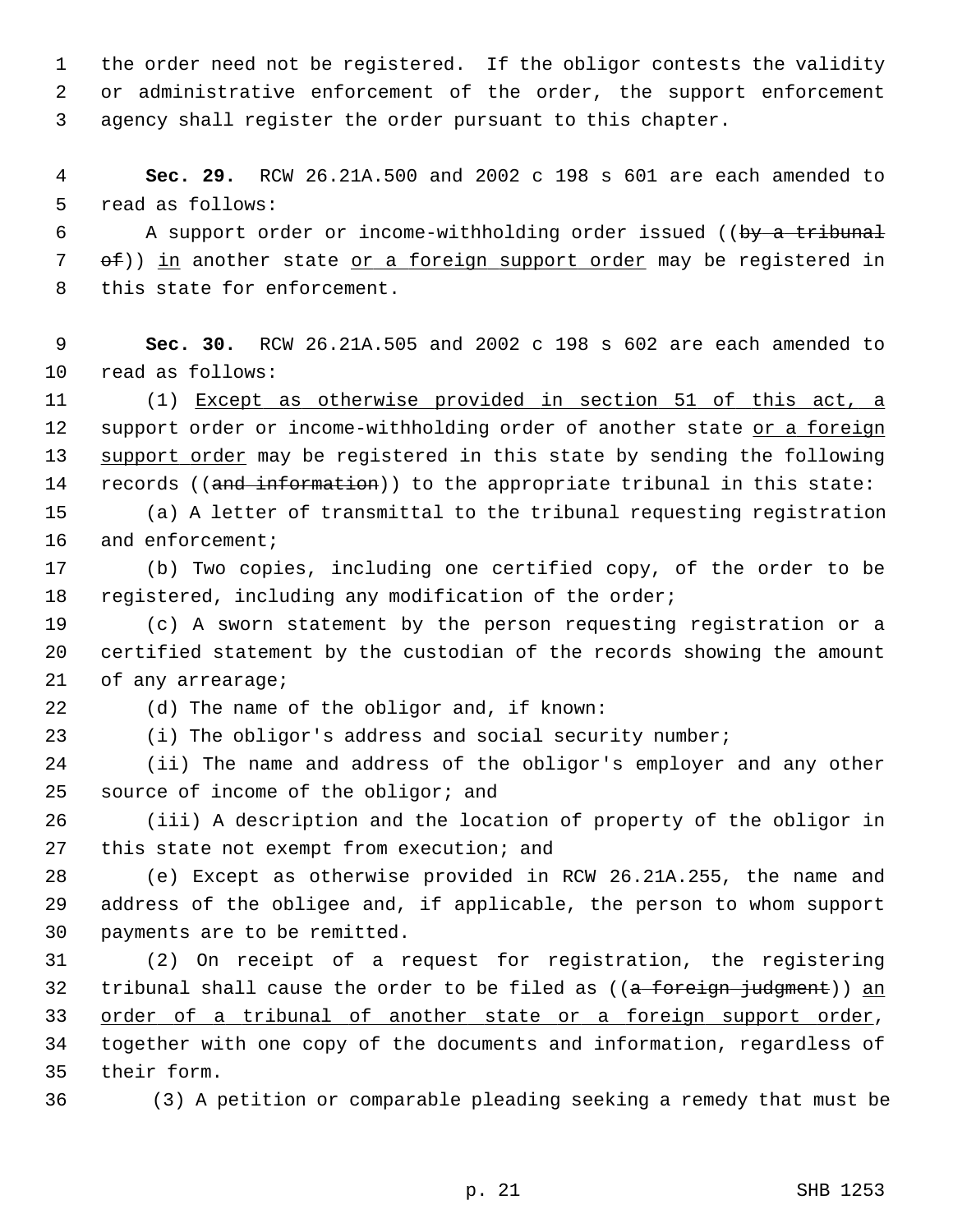1 the order need not be registered. If the obligor contests the validity 2 or administrative enforcement of the order, the support enforcement 3 agency shall register the order pursuant to this chapter.

 4 **Sec. 29.** RCW 26.21A.500 and 2002 c 198 s 601 are each amended to 5 read as follows:

6 A support order or income-withholding order issued ((by a tribunal 7 of)) in another state or a foreign support order may be registered in 8 this state for enforcement.

 9 **Sec. 30.** RCW 26.21A.505 and 2002 c 198 s 602 are each amended to 10 read as follows:

11 (1) Except as otherwise provided in section 51 of this act, a 12 support order or income-withholding order of another state or a foreign 13 support order may be registered in this state by sending the following 14 records ((and information)) to the appropriate tribunal in this state:

15 (a) A letter of transmittal to the tribunal requesting registration 16 and enforcement;

17 (b) Two copies, including one certified copy, of the order to be 18 registered, including any modification of the order;

19 (c) A sworn statement by the person requesting registration or a 20 certified statement by the custodian of the records showing the amount 21 of any arrearage;

22 (d) The name of the obligor and, if known:

23 (i) The obligor's address and social security number;

24 (ii) The name and address of the obligor's employer and any other 25 source of income of the obligor; and

26 (iii) A description and the location of property of the obligor in 27 this state not exempt from execution; and

28 (e) Except as otherwise provided in RCW 26.21A.255, the name and 29 address of the obligee and, if applicable, the person to whom support 30 payments are to be remitted.

31 (2) On receipt of a request for registration, the registering 32 tribunal shall cause the order to be filed as  $((a + b + c)$  for  $a + b + c)$  an 33 order of a tribunal of another state or a foreign support order, 34 together with one copy of the documents and information, regardless of 35 their form.

36 (3) A petition or comparable pleading seeking a remedy that must be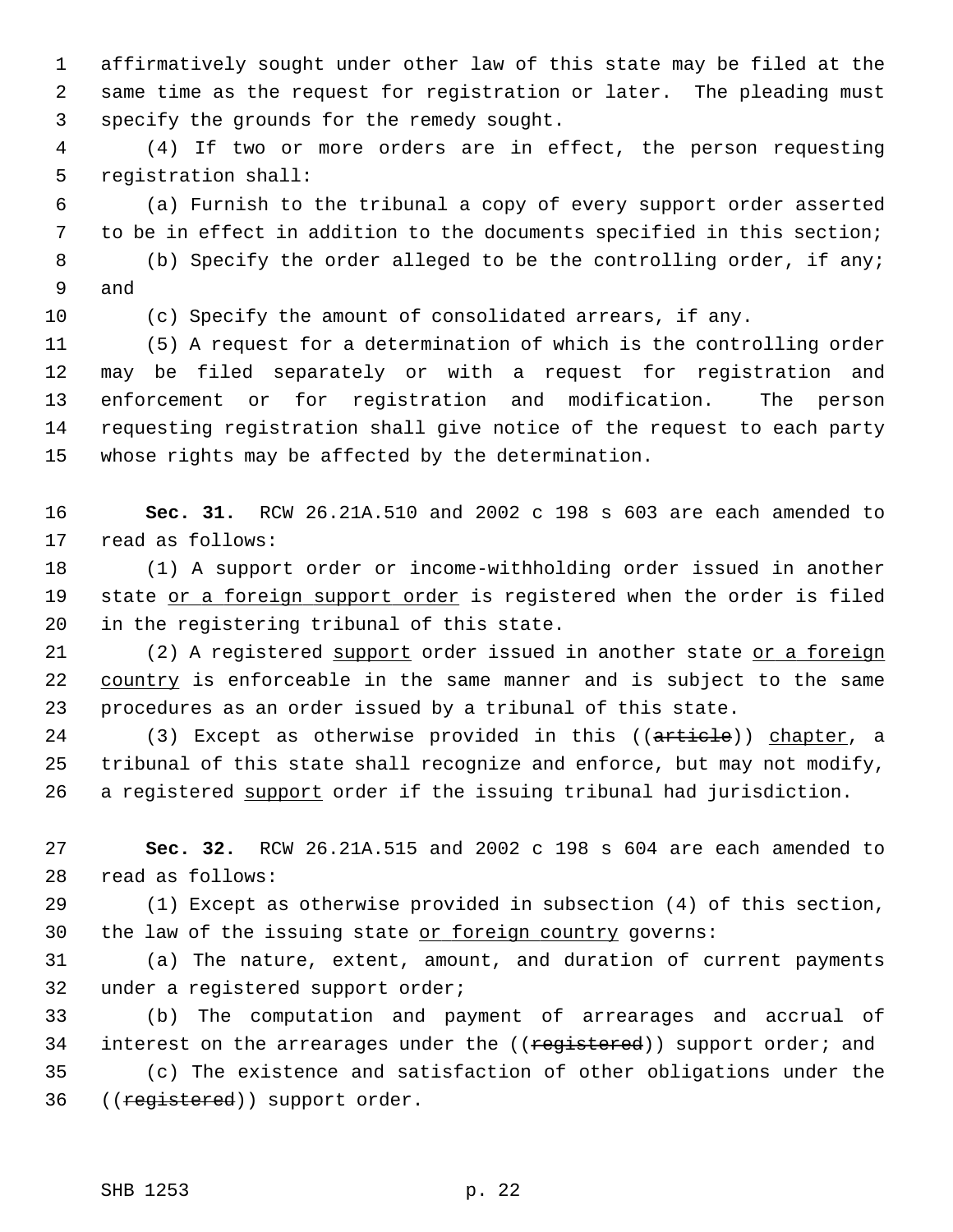1 affirmatively sought under other law of this state may be filed at the 2 same time as the request for registration or later. The pleading must 3 specify the grounds for the remedy sought.

 4 (4) If two or more orders are in effect, the person requesting 5 registration shall:

 6 (a) Furnish to the tribunal a copy of every support order asserted 7 to be in effect in addition to the documents specified in this section; 8 (b) Specify the order alleged to be the controlling order, if any;

9 and

10 (c) Specify the amount of consolidated arrears, if any.

11 (5) A request for a determination of which is the controlling order 12 may be filed separately or with a request for registration and 13 enforcement or for registration and modification. The person 14 requesting registration shall give notice of the request to each party 15 whose rights may be affected by the determination.

16 **Sec. 31.** RCW 26.21A.510 and 2002 c 198 s 603 are each amended to 17 read as follows:

18 (1) A support order or income-withholding order issued in another 19 state or a foreign support order is registered when the order is filed 20 in the registering tribunal of this state.

21 (2) A registered support order issued in another state or a foreign 22 country is enforceable in the same manner and is subject to the same 23 procedures as an order issued by a tribunal of this state.

24 (3) Except as otherwise provided in this ((article)) chapter, a 25 tribunal of this state shall recognize and enforce, but may not modify, 26 a registered support order if the issuing tribunal had jurisdiction.

27 **Sec. 32.** RCW 26.21A.515 and 2002 c 198 s 604 are each amended to 28 read as follows:

29 (1) Except as otherwise provided in subsection (4) of this section, 30 the law of the issuing state or foreign country governs:

31 (a) The nature, extent, amount, and duration of current payments 32 under a registered support order;

33 (b) The computation and payment of arrearages and accrual of 34 interest on the arrearages under the ((registered)) support order; and 35 (c) The existence and satisfaction of other obligations under the 36 ((registered)) support order.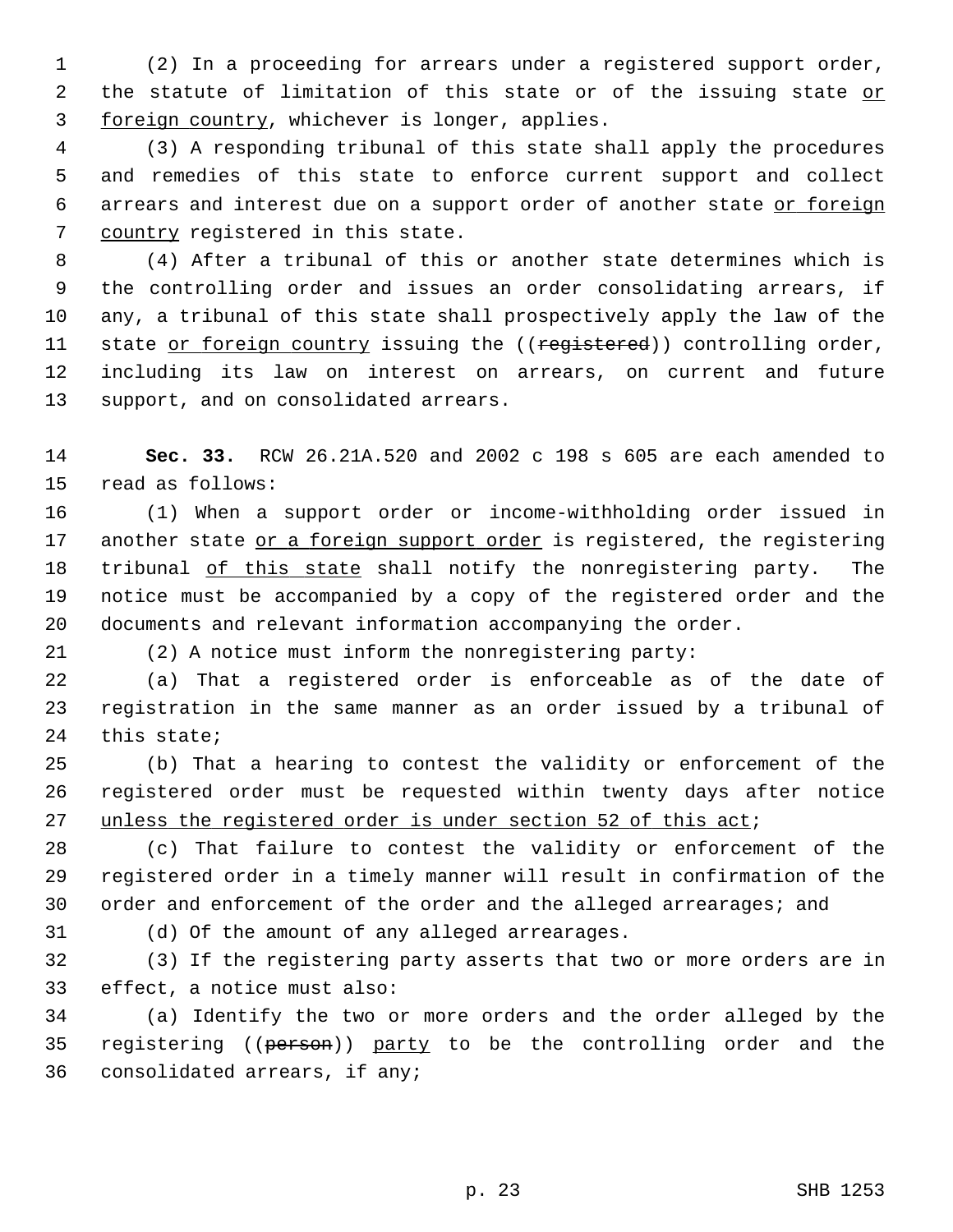1 (2) In a proceeding for arrears under a registered support order, 2 the statute of limitation of this state or of the issuing state or 3 foreign country, whichever is longer, applies.

 4 (3) A responding tribunal of this state shall apply the procedures 5 and remedies of this state to enforce current support and collect 6 arrears and interest due on a support order of another state or foreign 7 country registered in this state.

 8 (4) After a tribunal of this or another state determines which is 9 the controlling order and issues an order consolidating arrears, if 10 any, a tribunal of this state shall prospectively apply the law of the 11 state or foreign country issuing the ((registered)) controlling order, 12 including its law on interest on arrears, on current and future 13 support, and on consolidated arrears.

14 **Sec. 33.** RCW 26.21A.520 and 2002 c 198 s 605 are each amended to 15 read as follows:

16 (1) When a support order or income-withholding order issued in 17 another state or a foreign support order is registered, the registering 18 tribunal of this state shall notify the nonregistering party. The 19 notice must be accompanied by a copy of the registered order and the 20 documents and relevant information accompanying the order.

21 (2) A notice must inform the nonregistering party:

22 (a) That a registered order is enforceable as of the date of 23 registration in the same manner as an order issued by a tribunal of 24 this state;

25 (b) That a hearing to contest the validity or enforcement of the 26 registered order must be requested within twenty days after notice 27 unless the registered order is under section 52 of this act;

28 (c) That failure to contest the validity or enforcement of the 29 registered order in a timely manner will result in confirmation of the 30 order and enforcement of the order and the alleged arrearages; and

31 (d) Of the amount of any alleged arrearages.

32 (3) If the registering party asserts that two or more orders are in 33 effect, a notice must also:

34 (a) Identify the two or more orders and the order alleged by the 35 registering ((person)) party to be the controlling order and the 36 consolidated arrears, if any;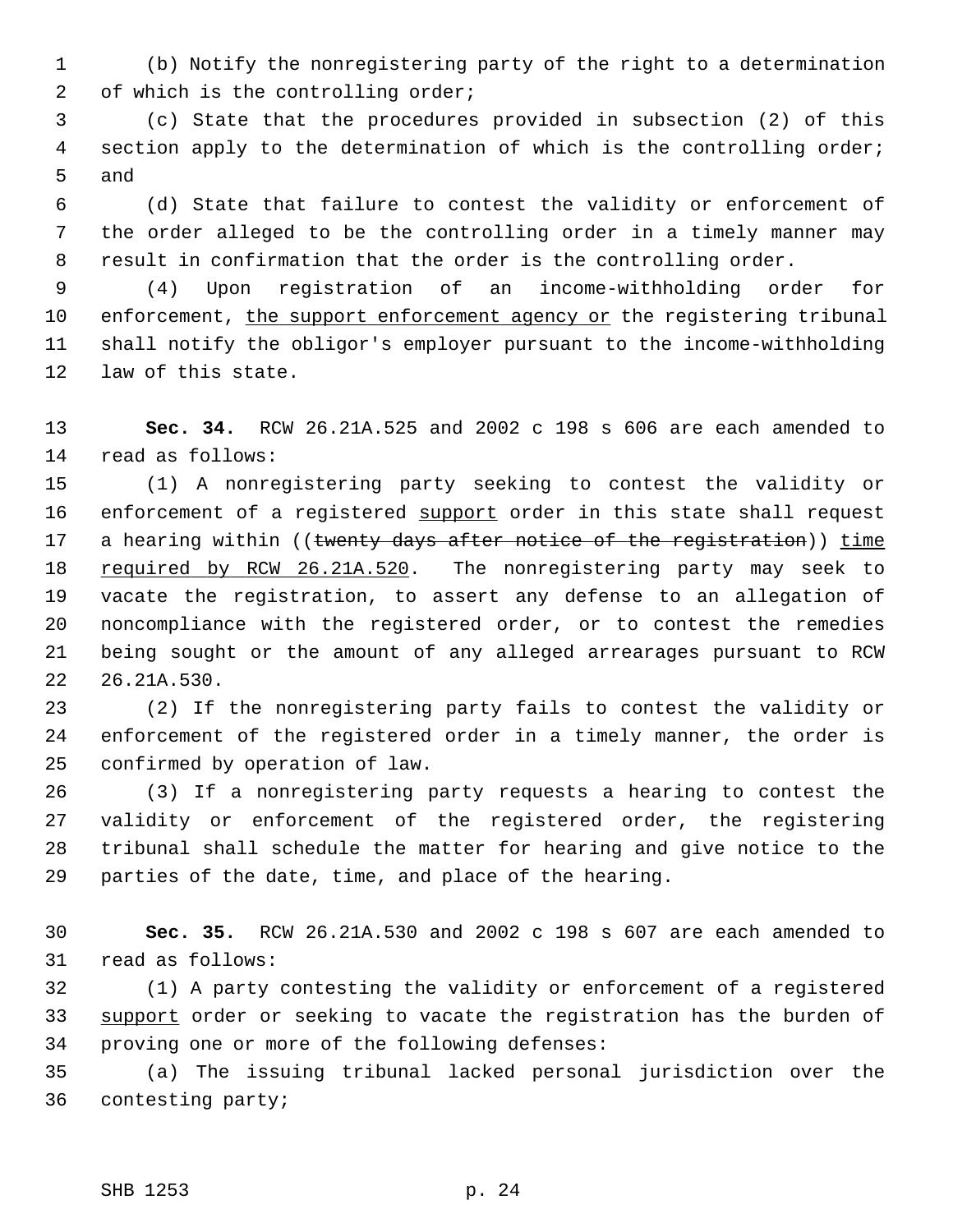1 (b) Notify the nonregistering party of the right to a determination 2 of which is the controlling order;

 3 (c) State that the procedures provided in subsection (2) of this 4 section apply to the determination of which is the controlling order; 5 and

 6 (d) State that failure to contest the validity or enforcement of 7 the order alleged to be the controlling order in a timely manner may 8 result in confirmation that the order is the controlling order.

 9 (4) Upon registration of an income-withholding order for 10 enforcement, the support enforcement agency or the registering tribunal 11 shall notify the obligor's employer pursuant to the income-withholding 12 law of this state.

13 **Sec. 34.** RCW 26.21A.525 and 2002 c 198 s 606 are each amended to 14 read as follows:

15 (1) A nonregistering party seeking to contest the validity or 16 enforcement of a registered support order in this state shall request 17 a hearing within ((twenty days after notice of the registration)) time 18 required by RCW 26.21A.520. The nonregistering party may seek to 19 vacate the registration, to assert any defense to an allegation of 20 noncompliance with the registered order, or to contest the remedies 21 being sought or the amount of any alleged arrearages pursuant to RCW 22 26.21A.530.

23 (2) If the nonregistering party fails to contest the validity or 24 enforcement of the registered order in a timely manner, the order is 25 confirmed by operation of law.

26 (3) If a nonregistering party requests a hearing to contest the 27 validity or enforcement of the registered order, the registering 28 tribunal shall schedule the matter for hearing and give notice to the 29 parties of the date, time, and place of the hearing.

30 **Sec. 35.** RCW 26.21A.530 and 2002 c 198 s 607 are each amended to 31 read as follows:

32 (1) A party contesting the validity or enforcement of a registered 33 support order or seeking to vacate the registration has the burden of 34 proving one or more of the following defenses:

35 (a) The issuing tribunal lacked personal jurisdiction over the 36 contesting party;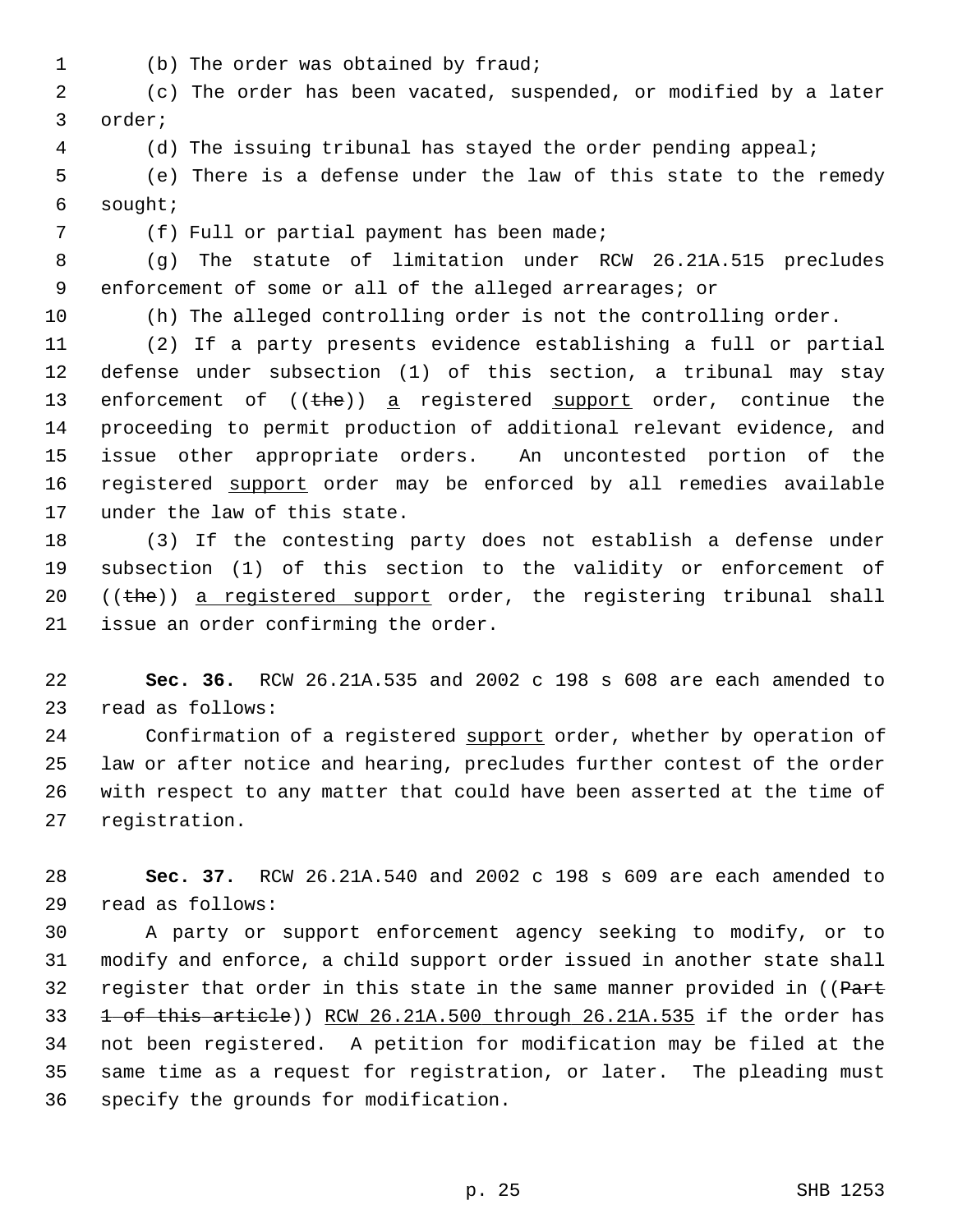1 (b) The order was obtained by fraud;

 2 (c) The order has been vacated, suspended, or modified by a later 3 order;

4 (d) The issuing tribunal has stayed the order pending appeal;

 5 (e) There is a defense under the law of this state to the remedy 6 sought;

7 (f) Full or partial payment has been made;

 8 (g) The statute of limitation under RCW 26.21A.515 precludes 9 enforcement of some or all of the alleged arrearages; or

10 (h) The alleged controlling order is not the controlling order.

11 (2) If a party presents evidence establishing a full or partial 12 defense under subsection (1) of this section, a tribunal may stay 13 enforcement of  $((the)^2$  a registered support order, continue the 14 proceeding to permit production of additional relevant evidence, and 15 issue other appropriate orders. An uncontested portion of the 16 registered support order may be enforced by all remedies available 17 under the law of this state.

18 (3) If the contesting party does not establish a defense under 19 subsection (1) of this section to the validity or enforcement of 20  $((the))$  a registered support order, the registering tribunal shall 21 issue an order confirming the order.

22 **Sec. 36.** RCW 26.21A.535 and 2002 c 198 s 608 are each amended to 23 read as follows:

24 Confirmation of a registered support order, whether by operation of 25 law or after notice and hearing, precludes further contest of the order 26 with respect to any matter that could have been asserted at the time of 27 registration.

28 **Sec. 37.** RCW 26.21A.540 and 2002 c 198 s 609 are each amended to 29 read as follows:

30 A party or support enforcement agency seeking to modify, or to 31 modify and enforce, a child support order issued in another state shall 32 register that order in this state in the same manner provided in ((Part 33 1 of this article)) RCW 26.21A.500 through 26.21A.535 if the order has 34 not been registered. A petition for modification may be filed at the 35 same time as a request for registration, or later. The pleading must 36 specify the grounds for modification.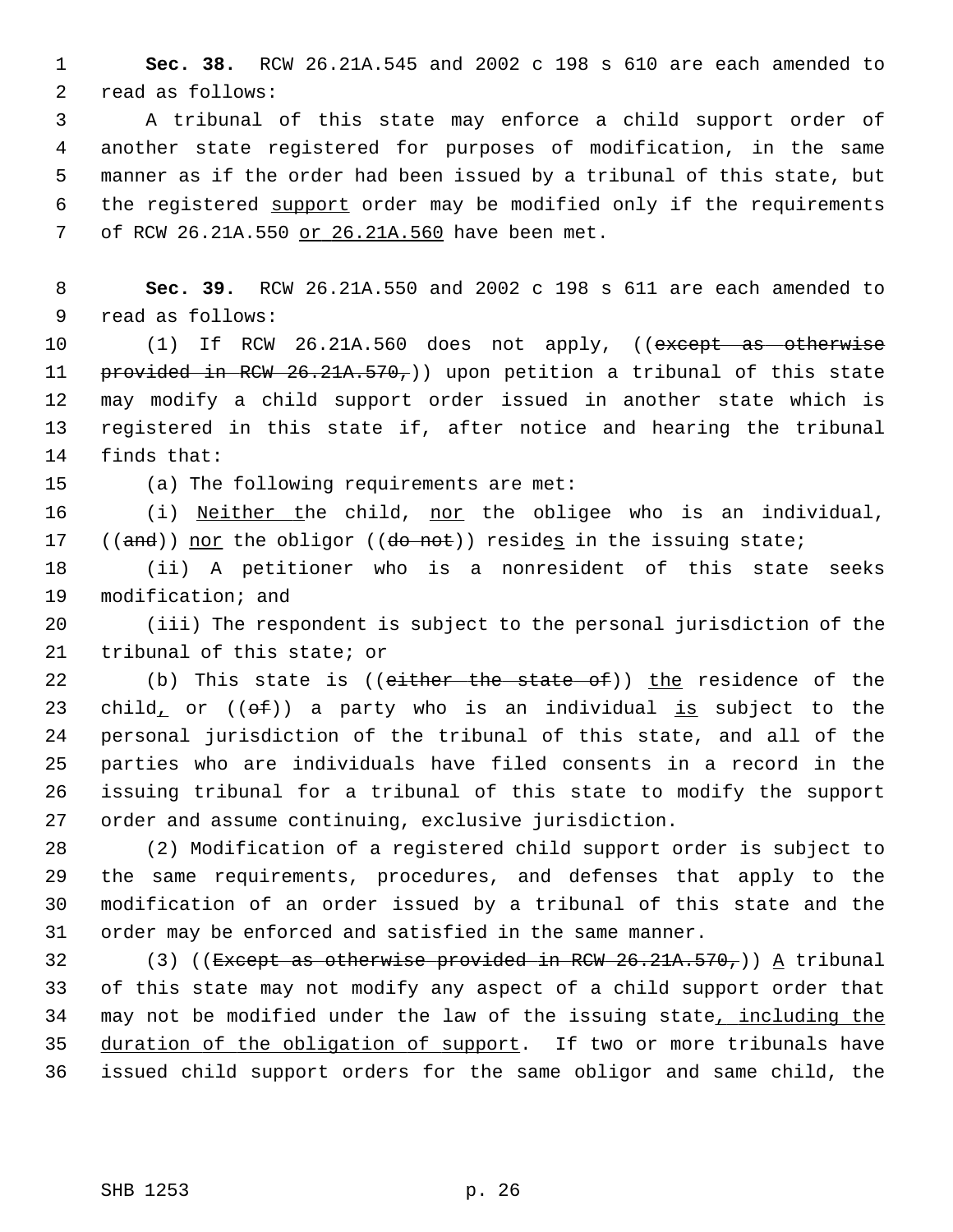1 **Sec. 38.** RCW 26.21A.545 and 2002 c 198 s 610 are each amended to 2 read as follows:

 3 A tribunal of this state may enforce a child support order of 4 another state registered for purposes of modification, in the same 5 manner as if the order had been issued by a tribunal of this state, but 6 the registered support order may be modified only if the requirements 7 of RCW 26.21A.550 or 26.21A.560 have been met.

 8 **Sec. 39.** RCW 26.21A.550 and 2002 c 198 s 611 are each amended to 9 read as follows:

10 (1) If RCW 26.21A.560 does not apply, ((except as otherwise 11 provided in RCW 26.21A.570,)) upon petition a tribunal of this state 12 may modify a child support order issued in another state which is 13 registered in this state if, after notice and hearing the tribunal 14 finds that:

15 (a) The following requirements are met:

16 (i) Neither the child, nor the obligee who is an individual, 17 (( $\text{and}$ )) nor the obligor ( $\text{de} \text{not}$ )) resides in the issuing state;

18 (ii) A petitioner who is a nonresident of this state seeks 19 modification; and

20 (iii) The respondent is subject to the personal jurisdiction of the 21 tribunal of this state; or

22 (b) This state is ((either the state of)) the residence of the 23 child, or  $(6f)$  a party who is an individual is subject to the 24 personal jurisdiction of the tribunal of this state, and all of the 25 parties who are individuals have filed consents in a record in the 26 issuing tribunal for a tribunal of this state to modify the support 27 order and assume continuing, exclusive jurisdiction.

28 (2) Modification of a registered child support order is subject to 29 the same requirements, procedures, and defenses that apply to the 30 modification of an order issued by a tribunal of this state and the 31 order may be enforced and satisfied in the same manner.

32 (3) ((Except as otherwise provided in RCW 26.21A.570,)) A tribunal 33 of this state may not modify any aspect of a child support order that 34 may not be modified under the law of the issuing state, including the 35 duration of the obligation of support. If two or more tribunals have 36 issued child support orders for the same obligor and same child, the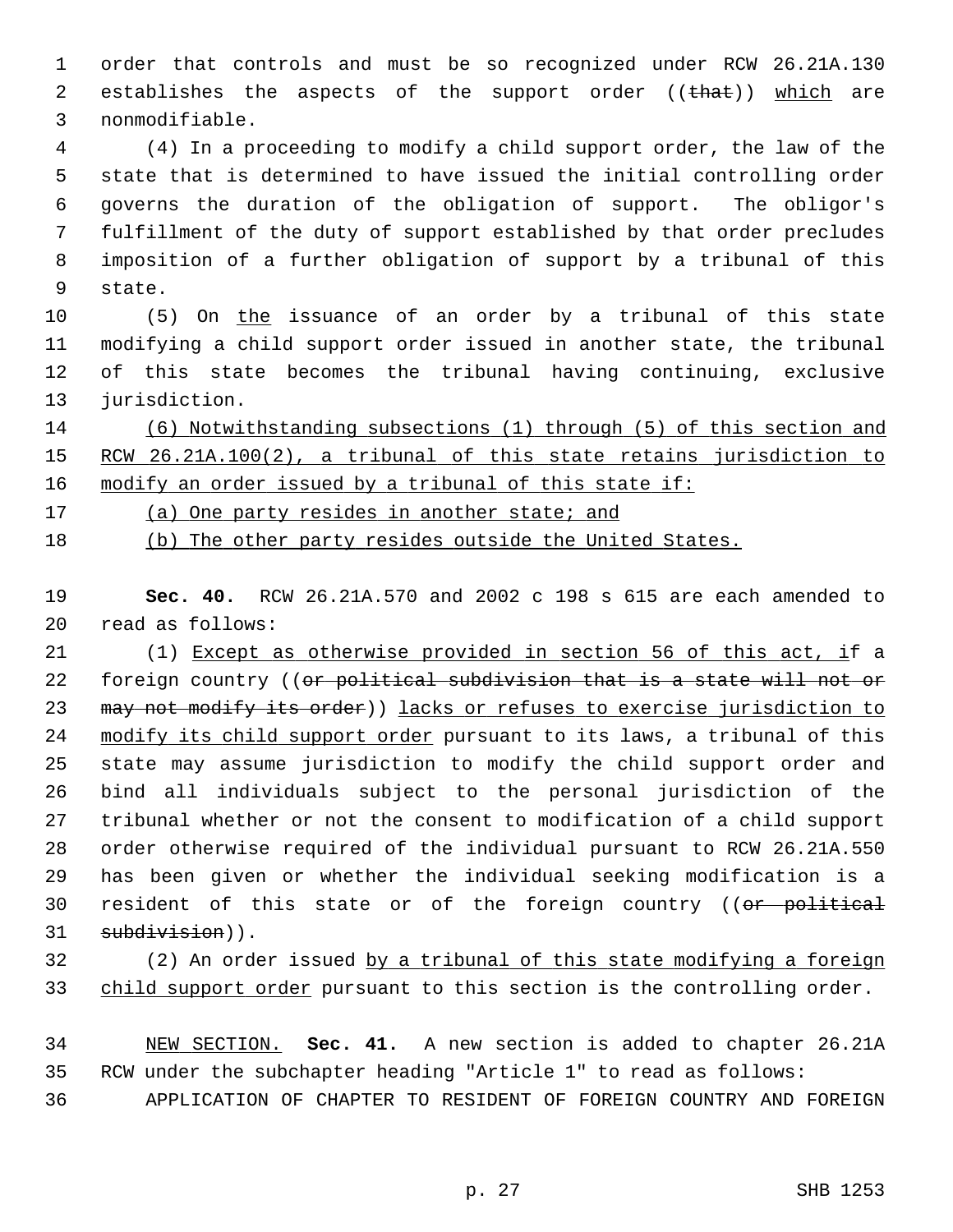1 order that controls and must be so recognized under RCW 26.21A.130 2 establishes the aspects of the support order ((that)) which are 3 nonmodifiable.

 4 (4) In a proceeding to modify a child support order, the law of the 5 state that is determined to have issued the initial controlling order 6 governs the duration of the obligation of support. The obligor's 7 fulfillment of the duty of support established by that order precludes 8 imposition of a further obligation of support by a tribunal of this 9 state.

10 (5) On the issuance of an order by a tribunal of this state 11 modifying a child support order issued in another state, the tribunal 12 of this state becomes the tribunal having continuing, exclusive 13 jurisdiction.

14 (6) Notwithstanding subsections (1) through (5) of this section and 15 RCW 26.21A.100(2), a tribunal of this state retains jurisdiction to 16 modify an order issued by a tribunal of this state if:

17 (a) One party resides in another state; and

18 (b) The other party resides outside the United States.

19 **Sec. 40.** RCW 26.21A.570 and 2002 c 198 s 615 are each amended to 20 read as follows:

21 (1) Except as otherwise provided in section 56 of this act, if a 22 foreign country ((or political subdivision that is a state will not or 23 may not modify its order)) lacks or refuses to exercise jurisdiction to 24 modify its child support order pursuant to its laws, a tribunal of this 25 state may assume jurisdiction to modify the child support order and 26 bind all individuals subject to the personal jurisdiction of the 27 tribunal whether or not the consent to modification of a child support 28 order otherwise required of the individual pursuant to RCW 26.21A.550 29 has been given or whether the individual seeking modification is a 30 resident of this state or of the foreign country ((or political 31 subdivision)).

## 32 (2) An order issued by a tribunal of this state modifying a foreign 33 child support order pursuant to this section is the controlling order.

34 NEW SECTION. **Sec. 41.** A new section is added to chapter 26.21A 35 RCW under the subchapter heading "Article 1" to read as follows:

36 APPLICATION OF CHAPTER TO RESIDENT OF FOREIGN COUNTRY AND FOREIGN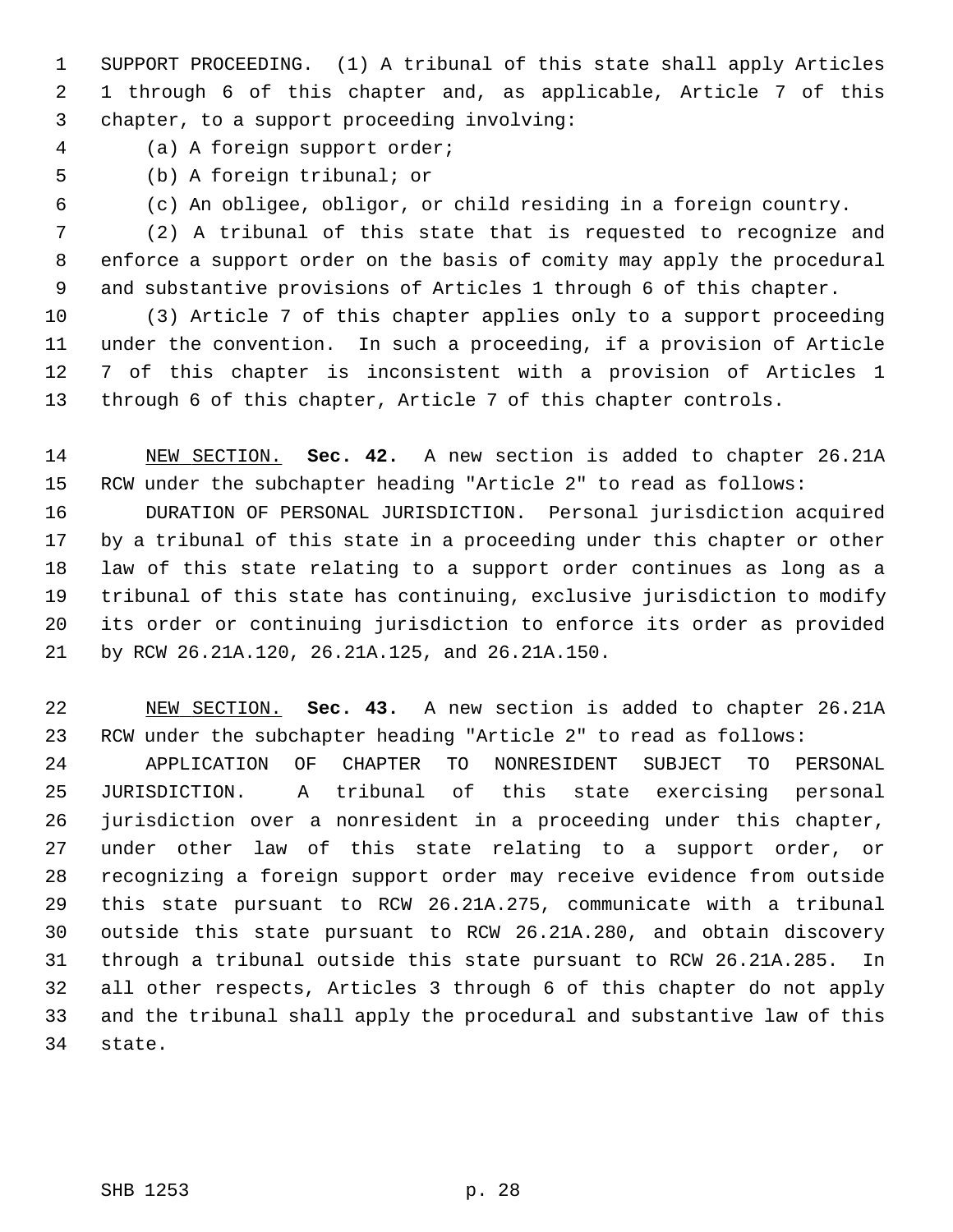1 SUPPORT PROCEEDING. (1) A tribunal of this state shall apply Articles 2 1 through 6 of this chapter and, as applicable, Article 7 of this 3 chapter, to a support proceeding involving:

4 (a) A foreign support order;

- 
- 5 (b) A foreign tribunal; or
- 

6 (c) An obligee, obligor, or child residing in a foreign country.

 7 (2) A tribunal of this state that is requested to recognize and 8 enforce a support order on the basis of comity may apply the procedural 9 and substantive provisions of Articles 1 through 6 of this chapter.

10 (3) Article 7 of this chapter applies only to a support proceeding 11 under the convention. In such a proceeding, if a provision of Article 12 7 of this chapter is inconsistent with a provision of Articles 1 13 through 6 of this chapter, Article 7 of this chapter controls.

14 NEW SECTION. **Sec. 42.** A new section is added to chapter 26.21A 15 RCW under the subchapter heading "Article 2" to read as follows:

16 DURATION OF PERSONAL JURISDICTION. Personal jurisdiction acquired 17 by a tribunal of this state in a proceeding under this chapter or other 18 law of this state relating to a support order continues as long as a 19 tribunal of this state has continuing, exclusive jurisdiction to modify 20 its order or continuing jurisdiction to enforce its order as provided 21 by RCW 26.21A.120, 26.21A.125, and 26.21A.150.

22 NEW SECTION. **Sec. 43.** A new section is added to chapter 26.21A 23 RCW under the subchapter heading "Article 2" to read as follows:

24 APPLICATION OF CHAPTER TO NONRESIDENT SUBJECT TO PERSONAL 25 JURISDICTION. A tribunal of this state exercising personal 26 jurisdiction over a nonresident in a proceeding under this chapter, 27 under other law of this state relating to a support order, or 28 recognizing a foreign support order may receive evidence from outside 29 this state pursuant to RCW 26.21A.275, communicate with a tribunal 30 outside this state pursuant to RCW 26.21A.280, and obtain discovery 31 through a tribunal outside this state pursuant to RCW 26.21A.285. In 32 all other respects, Articles 3 through 6 of this chapter do not apply 33 and the tribunal shall apply the procedural and substantive law of this 34 state.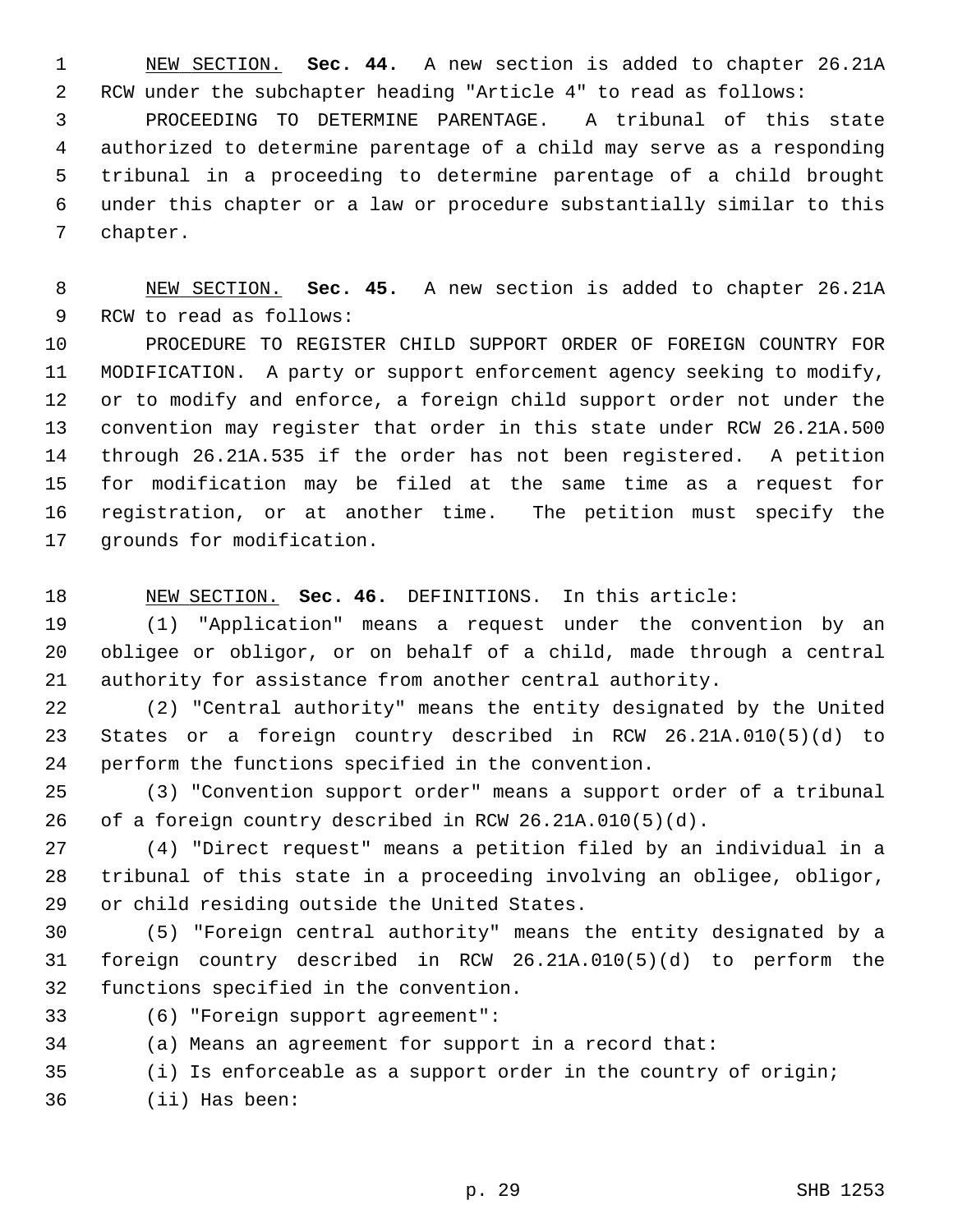1 NEW SECTION. **Sec. 44.** A new section is added to chapter 26.21A 2 RCW under the subchapter heading "Article 4" to read as follows:

 3 PROCEEDING TO DETERMINE PARENTAGE. A tribunal of this state 4 authorized to determine parentage of a child may serve as a responding 5 tribunal in a proceeding to determine parentage of a child brought 6 under this chapter or a law or procedure substantially similar to this 7 chapter.

 8 NEW SECTION. **Sec. 45.** A new section is added to chapter 26.21A 9 RCW to read as follows:

10 PROCEDURE TO REGISTER CHILD SUPPORT ORDER OF FOREIGN COUNTRY FOR 11 MODIFICATION. A party or support enforcement agency seeking to modify, 12 or to modify and enforce, a foreign child support order not under the 13 convention may register that order in this state under RCW 26.21A.500 14 through 26.21A.535 if the order has not been registered. A petition 15 for modification may be filed at the same time as a request for 16 registration, or at another time. The petition must specify the 17 grounds for modification.

18 NEW SECTION. **Sec. 46.** DEFINITIONS. In this article:

19 (1) "Application" means a request under the convention by an 20 obligee or obligor, or on behalf of a child, made through a central 21 authority for assistance from another central authority.

22 (2) "Central authority" means the entity designated by the United 23 States or a foreign country described in RCW 26.21A.010(5)(d) to 24 perform the functions specified in the convention.

25 (3) "Convention support order" means a support order of a tribunal 26 of a foreign country described in RCW 26.21A.010(5)(d).

27 (4) "Direct request" means a petition filed by an individual in a 28 tribunal of this state in a proceeding involving an obligee, obligor, 29 or child residing outside the United States.

30 (5) "Foreign central authority" means the entity designated by a 31 foreign country described in RCW 26.21A.010(5)(d) to perform the 32 functions specified in the convention.

33 (6) "Foreign support agreement":

34 (a) Means an agreement for support in a record that:

35 (i) Is enforceable as a support order in the country of origin;

36 (ii) Has been: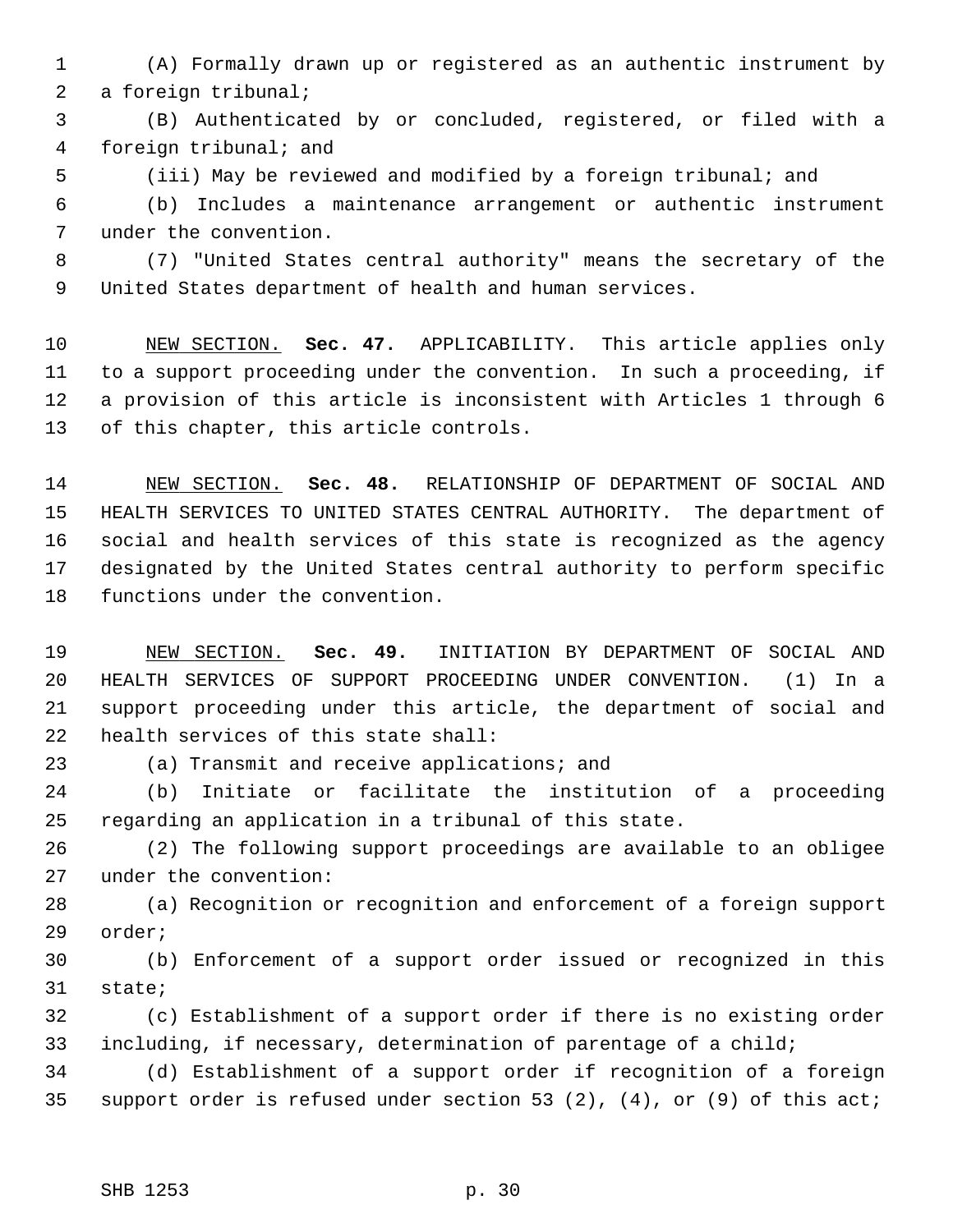- 1 (A) Formally drawn up or registered as an authentic instrument by 2 a foreign tribunal;
- 3 (B) Authenticated by or concluded, registered, or filed with a 4 foreign tribunal; and
- 

5 (iii) May be reviewed and modified by a foreign tribunal; and

 6 (b) Includes a maintenance arrangement or authentic instrument 7 under the convention.

 8 (7) "United States central authority" means the secretary of the 9 United States department of health and human services.

10 NEW SECTION. **Sec. 47.** APPLICABILITY. This article applies only 11 to a support proceeding under the convention. In such a proceeding, if 12 a provision of this article is inconsistent with Articles 1 through 6 13 of this chapter, this article controls.

14 NEW SECTION. **Sec. 48.** RELATIONSHIP OF DEPARTMENT OF SOCIAL AND 15 HEALTH SERVICES TO UNITED STATES CENTRAL AUTHORITY. The department of 16 social and health services of this state is recognized as the agency 17 designated by the United States central authority to perform specific 18 functions under the convention.

19 NEW SECTION. **Sec. 49.** INITIATION BY DEPARTMENT OF SOCIAL AND 20 HEALTH SERVICES OF SUPPORT PROCEEDING UNDER CONVENTION. (1) In a 21 support proceeding under this article, the department of social and 22 health services of this state shall:

23 (a) Transmit and receive applications; and

24 (b) Initiate or facilitate the institution of a proceeding 25 regarding an application in a tribunal of this state.

26 (2) The following support proceedings are available to an obligee 27 under the convention:

28 (a) Recognition or recognition and enforcement of a foreign support 29 order;

30 (b) Enforcement of a support order issued or recognized in this 31 state;

32 (c) Establishment of a support order if there is no existing order 33 including, if necessary, determination of parentage of a child;

34 (d) Establishment of a support order if recognition of a foreign 35 support order is refused under section 53 (2), (4), or (9) of this act;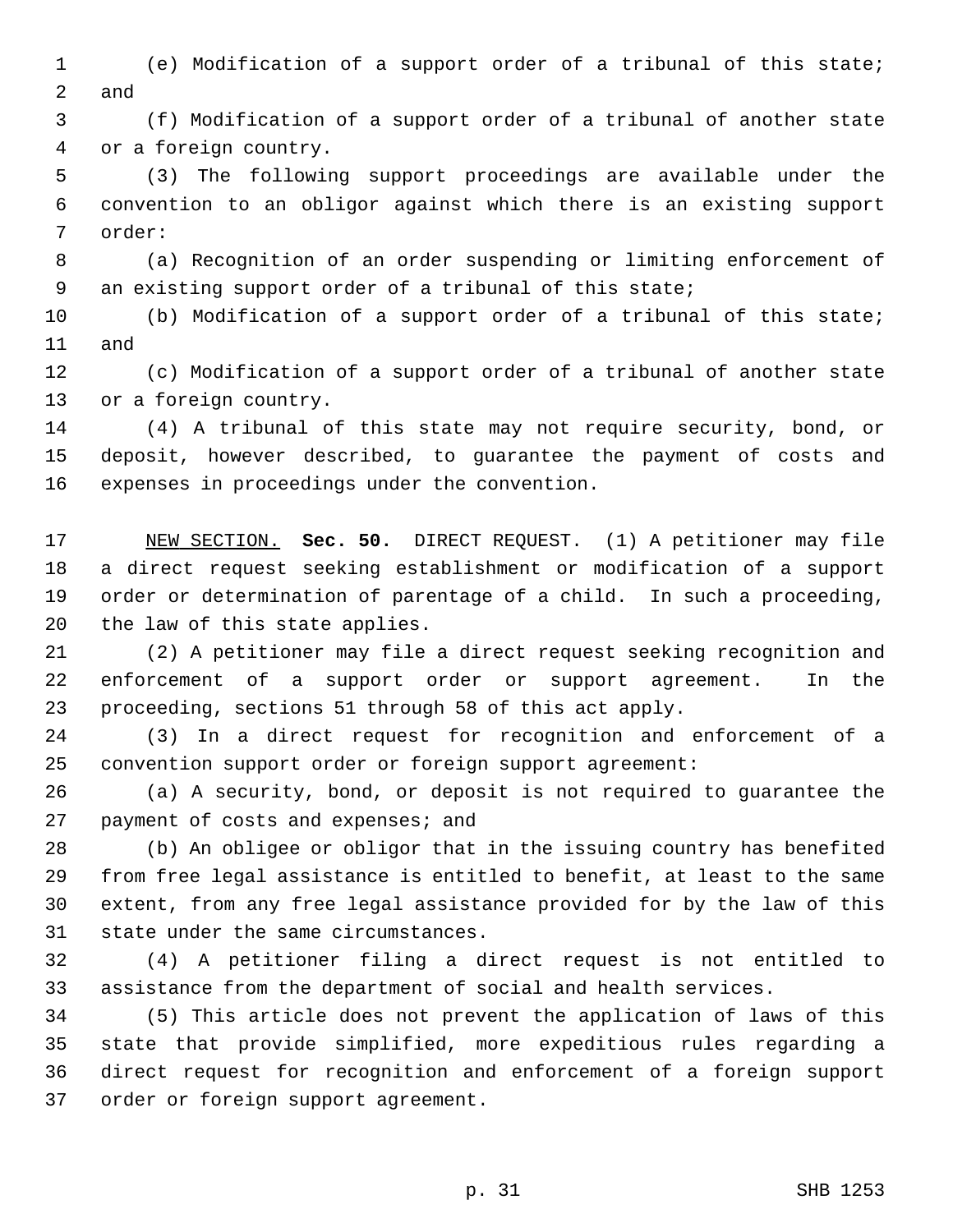- 1 (e) Modification of a support order of a tribunal of this state; 2 and
- 3 (f) Modification of a support order of a tribunal of another state 4 or a foreign country.

 5 (3) The following support proceedings are available under the 6 convention to an obligor against which there is an existing support 7 order:

 8 (a) Recognition of an order suspending or limiting enforcement of 9 an existing support order of a tribunal of this state;

10 (b) Modification of a support order of a tribunal of this state; 11 and

12 (c) Modification of a support order of a tribunal of another state 13 or a foreign country.

14 (4) A tribunal of this state may not require security, bond, or 15 deposit, however described, to guarantee the payment of costs and 16 expenses in proceedings under the convention.

17 NEW SECTION. **Sec. 50.** DIRECT REQUEST. (1) A petitioner may file 18 a direct request seeking establishment or modification of a support 19 order or determination of parentage of a child. In such a proceeding, 20 the law of this state applies.

21 (2) A petitioner may file a direct request seeking recognition and 22 enforcement of a support order or support agreement. In the 23 proceeding, sections 51 through 58 of this act apply.

24 (3) In a direct request for recognition and enforcement of a 25 convention support order or foreign support agreement:

26 (a) A security, bond, or deposit is not required to guarantee the 27 payment of costs and expenses; and

28 (b) An obligee or obligor that in the issuing country has benefited 29 from free legal assistance is entitled to benefit, at least to the same 30 extent, from any free legal assistance provided for by the law of this 31 state under the same circumstances.

32 (4) A petitioner filing a direct request is not entitled to 33 assistance from the department of social and health services.

34 (5) This article does not prevent the application of laws of this 35 state that provide simplified, more expeditious rules regarding a 36 direct request for recognition and enforcement of a foreign support 37 order or foreign support agreement.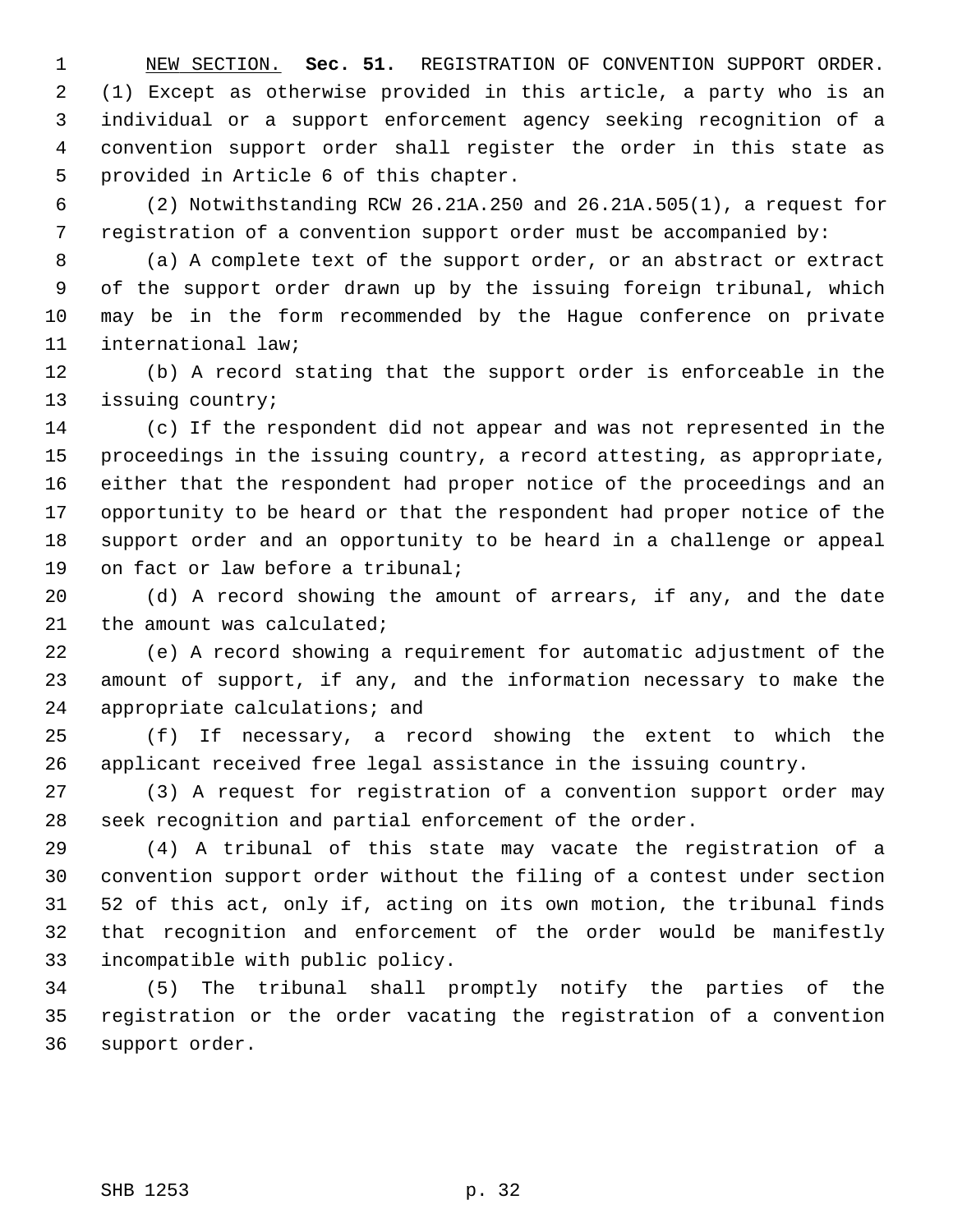1 NEW SECTION. **Sec. 51.** REGISTRATION OF CONVENTION SUPPORT ORDER. 2 (1) Except as otherwise provided in this article, a party who is an 3 individual or a support enforcement agency seeking recognition of a 4 convention support order shall register the order in this state as 5 provided in Article 6 of this chapter.

 6 (2) Notwithstanding RCW 26.21A.250 and 26.21A.505(1), a request for 7 registration of a convention support order must be accompanied by:

 8 (a) A complete text of the support order, or an abstract or extract 9 of the support order drawn up by the issuing foreign tribunal, which 10 may be in the form recommended by the Hague conference on private 11 international law;

12 (b) A record stating that the support order is enforceable in the 13 issuing country;

14 (c) If the respondent did not appear and was not represented in the 15 proceedings in the issuing country, a record attesting, as appropriate, 16 either that the respondent had proper notice of the proceedings and an 17 opportunity to be heard or that the respondent had proper notice of the 18 support order and an opportunity to be heard in a challenge or appeal 19 on fact or law before a tribunal;

20 (d) A record showing the amount of arrears, if any, and the date 21 the amount was calculated;

22 (e) A record showing a requirement for automatic adjustment of the 23 amount of support, if any, and the information necessary to make the 24 appropriate calculations; and

25 (f) If necessary, a record showing the extent to which the 26 applicant received free legal assistance in the issuing country.

27 (3) A request for registration of a convention support order may 28 seek recognition and partial enforcement of the order.

29 (4) A tribunal of this state may vacate the registration of a 30 convention support order without the filing of a contest under section 31 52 of this act, only if, acting on its own motion, the tribunal finds 32 that recognition and enforcement of the order would be manifestly 33 incompatible with public policy.

34 (5) The tribunal shall promptly notify the parties of the 35 registration or the order vacating the registration of a convention 36 support order.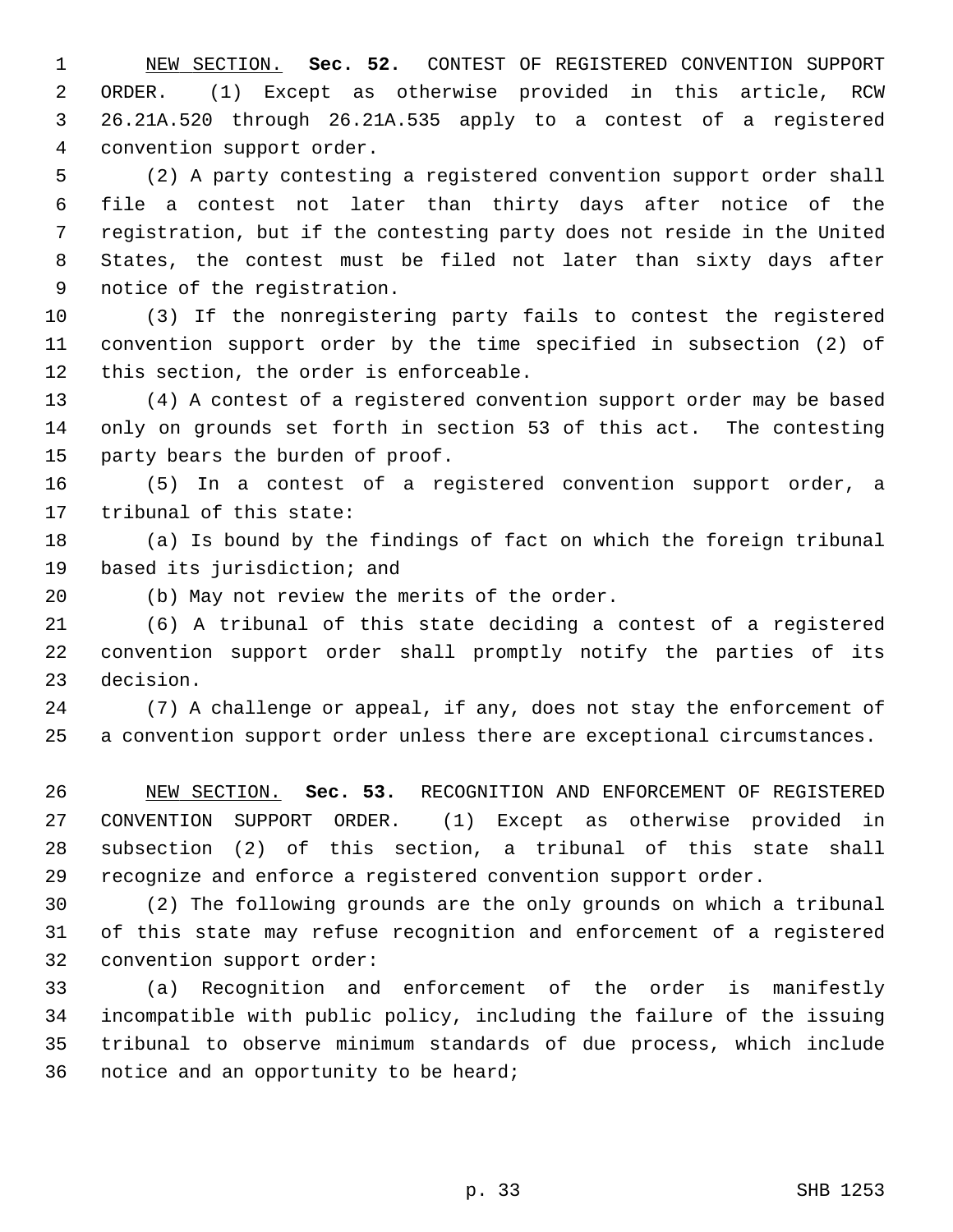1 NEW SECTION. **Sec. 52.** CONTEST OF REGISTERED CONVENTION SUPPORT 2 ORDER. (1) Except as otherwise provided in this article, RCW 3 26.21A.520 through 26.21A.535 apply to a contest of a registered 4 convention support order.

 5 (2) A party contesting a registered convention support order shall 6 file a contest not later than thirty days after notice of the 7 registration, but if the contesting party does not reside in the United 8 States, the contest must be filed not later than sixty days after 9 notice of the registration.

10 (3) If the nonregistering party fails to contest the registered 11 convention support order by the time specified in subsection (2) of 12 this section, the order is enforceable.

13 (4) A contest of a registered convention support order may be based 14 only on grounds set forth in section 53 of this act. The contesting 15 party bears the burden of proof.

16 (5) In a contest of a registered convention support order, a 17 tribunal of this state:

18 (a) Is bound by the findings of fact on which the foreign tribunal 19 based its jurisdiction; and

20 (b) May not review the merits of the order.

21 (6) A tribunal of this state deciding a contest of a registered 22 convention support order shall promptly notify the parties of its 23 decision.

24 (7) A challenge or appeal, if any, does not stay the enforcement of 25 a convention support order unless there are exceptional circumstances.

26 NEW SECTION. **Sec. 53.** RECOGNITION AND ENFORCEMENT OF REGISTERED 27 CONVENTION SUPPORT ORDER. (1) Except as otherwise provided in 28 subsection (2) of this section, a tribunal of this state shall 29 recognize and enforce a registered convention support order.

30 (2) The following grounds are the only grounds on which a tribunal 31 of this state may refuse recognition and enforcement of a registered 32 convention support order:

33 (a) Recognition and enforcement of the order is manifestly 34 incompatible with public policy, including the failure of the issuing 35 tribunal to observe minimum standards of due process, which include 36 notice and an opportunity to be heard;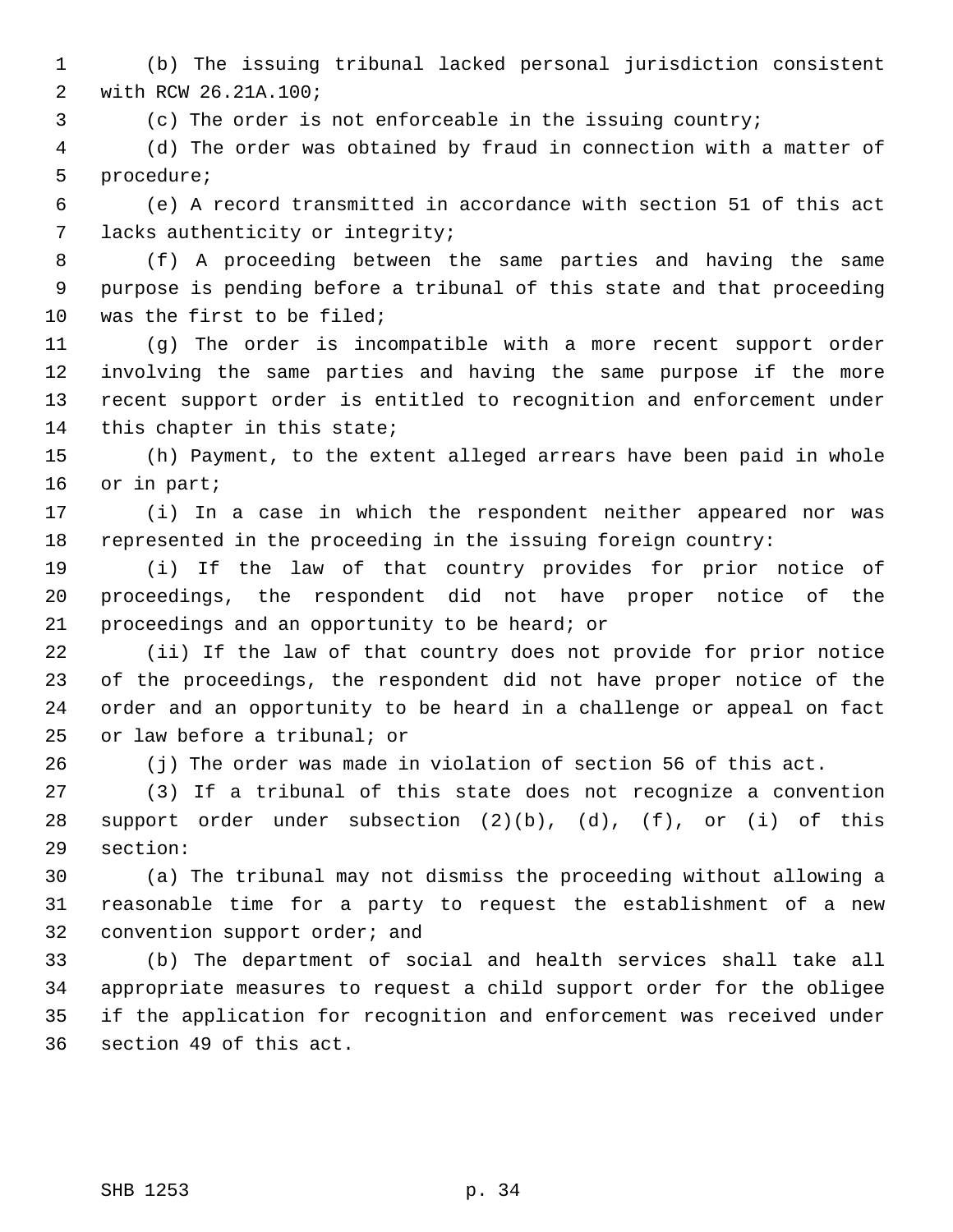1 (b) The issuing tribunal lacked personal jurisdiction consistent 2 with RCW 26.21A.100;

3 (c) The order is not enforceable in the issuing country;

 4 (d) The order was obtained by fraud in connection with a matter of 5 procedure;

 6 (e) A record transmitted in accordance with section 51 of this act 7 lacks authenticity or integrity;

 8 (f) A proceeding between the same parties and having the same 9 purpose is pending before a tribunal of this state and that proceeding 10 was the first to be filed;

11 (g) The order is incompatible with a more recent support order 12 involving the same parties and having the same purpose if the more 13 recent support order is entitled to recognition and enforcement under 14 this chapter in this state;

15 (h) Payment, to the extent alleged arrears have been paid in whole 16 or in part;

17 (i) In a case in which the respondent neither appeared nor was 18 represented in the proceeding in the issuing foreign country:

19 (i) If the law of that country provides for prior notice of 20 proceedings, the respondent did not have proper notice of the 21 proceedings and an opportunity to be heard; or

22 (ii) If the law of that country does not provide for prior notice 23 of the proceedings, the respondent did not have proper notice of the 24 order and an opportunity to be heard in a challenge or appeal on fact 25 or law before a tribunal; or

26 (j) The order was made in violation of section 56 of this act.

27 (3) If a tribunal of this state does not recognize a convention 28 support order under subsection (2)(b), (d), (f), or (i) of this 29 section:

30 (a) The tribunal may not dismiss the proceeding without allowing a 31 reasonable time for a party to request the establishment of a new 32 convention support order; and

33 (b) The department of social and health services shall take all 34 appropriate measures to request a child support order for the obligee 35 if the application for recognition and enforcement was received under 36 section 49 of this act.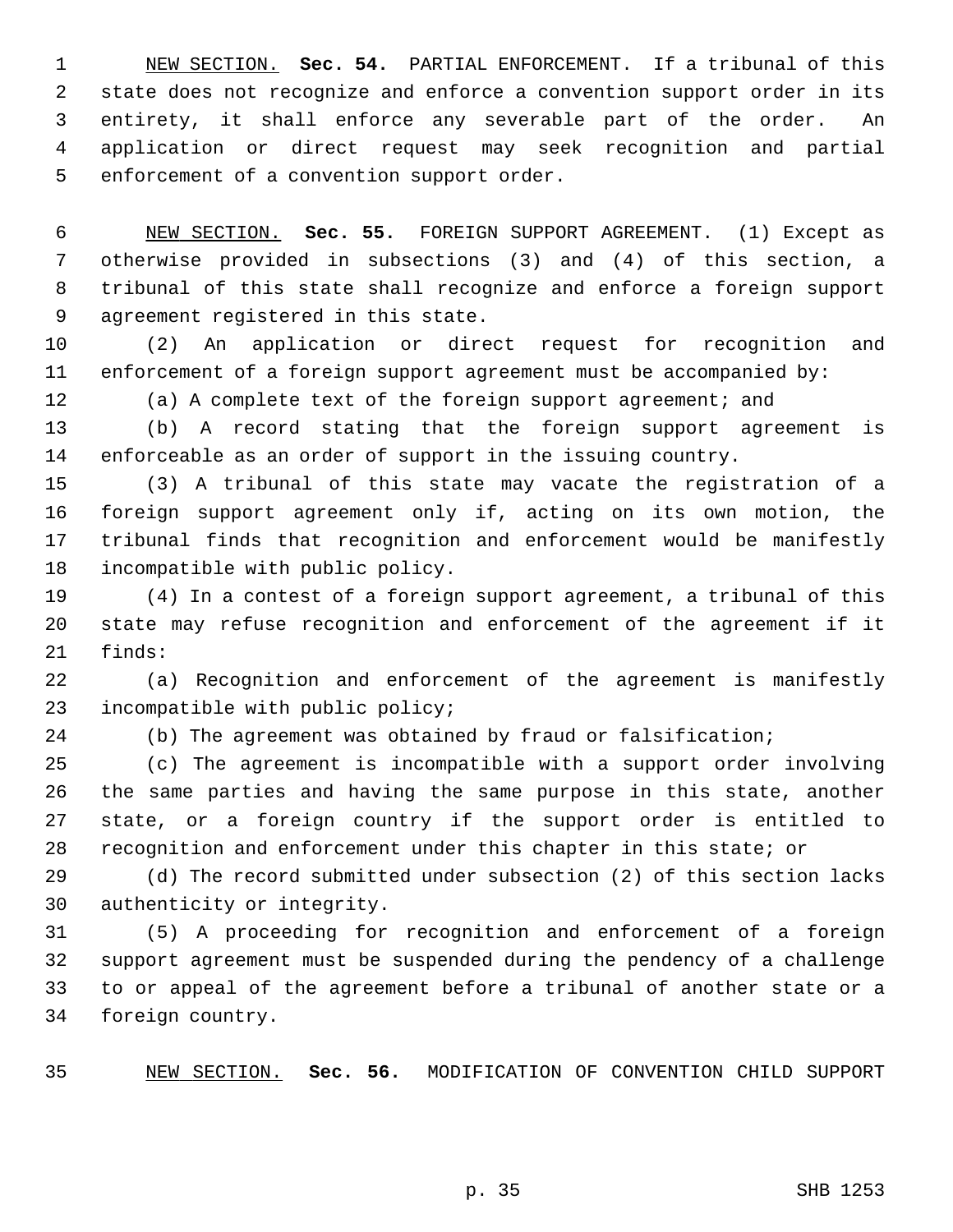1 NEW SECTION. **Sec. 54.** PARTIAL ENFORCEMENT. If a tribunal of this 2 state does not recognize and enforce a convention support order in its 3 entirety, it shall enforce any severable part of the order. An 4 application or direct request may seek recognition and partial 5 enforcement of a convention support order.

 6 NEW SECTION. **Sec. 55.** FOREIGN SUPPORT AGREEMENT. (1) Except as 7 otherwise provided in subsections (3) and (4) of this section, a 8 tribunal of this state shall recognize and enforce a foreign support 9 agreement registered in this state.

10 (2) An application or direct request for recognition and 11 enforcement of a foreign support agreement must be accompanied by:

12 (a) A complete text of the foreign support agreement; and

13 (b) A record stating that the foreign support agreement is 14 enforceable as an order of support in the issuing country.

15 (3) A tribunal of this state may vacate the registration of a 16 foreign support agreement only if, acting on its own motion, the 17 tribunal finds that recognition and enforcement would be manifestly 18 incompatible with public policy.

19 (4) In a contest of a foreign support agreement, a tribunal of this 20 state may refuse recognition and enforcement of the agreement if it 21 finds:

22 (a) Recognition and enforcement of the agreement is manifestly 23 incompatible with public policy;

24 (b) The agreement was obtained by fraud or falsification;

25 (c) The agreement is incompatible with a support order involving 26 the same parties and having the same purpose in this state, another 27 state, or a foreign country if the support order is entitled to 28 recognition and enforcement under this chapter in this state; or

29 (d) The record submitted under subsection (2) of this section lacks 30 authenticity or integrity.

31 (5) A proceeding for recognition and enforcement of a foreign 32 support agreement must be suspended during the pendency of a challenge 33 to or appeal of the agreement before a tribunal of another state or a 34 foreign country.

35 NEW SECTION. **Sec. 56.** MODIFICATION OF CONVENTION CHILD SUPPORT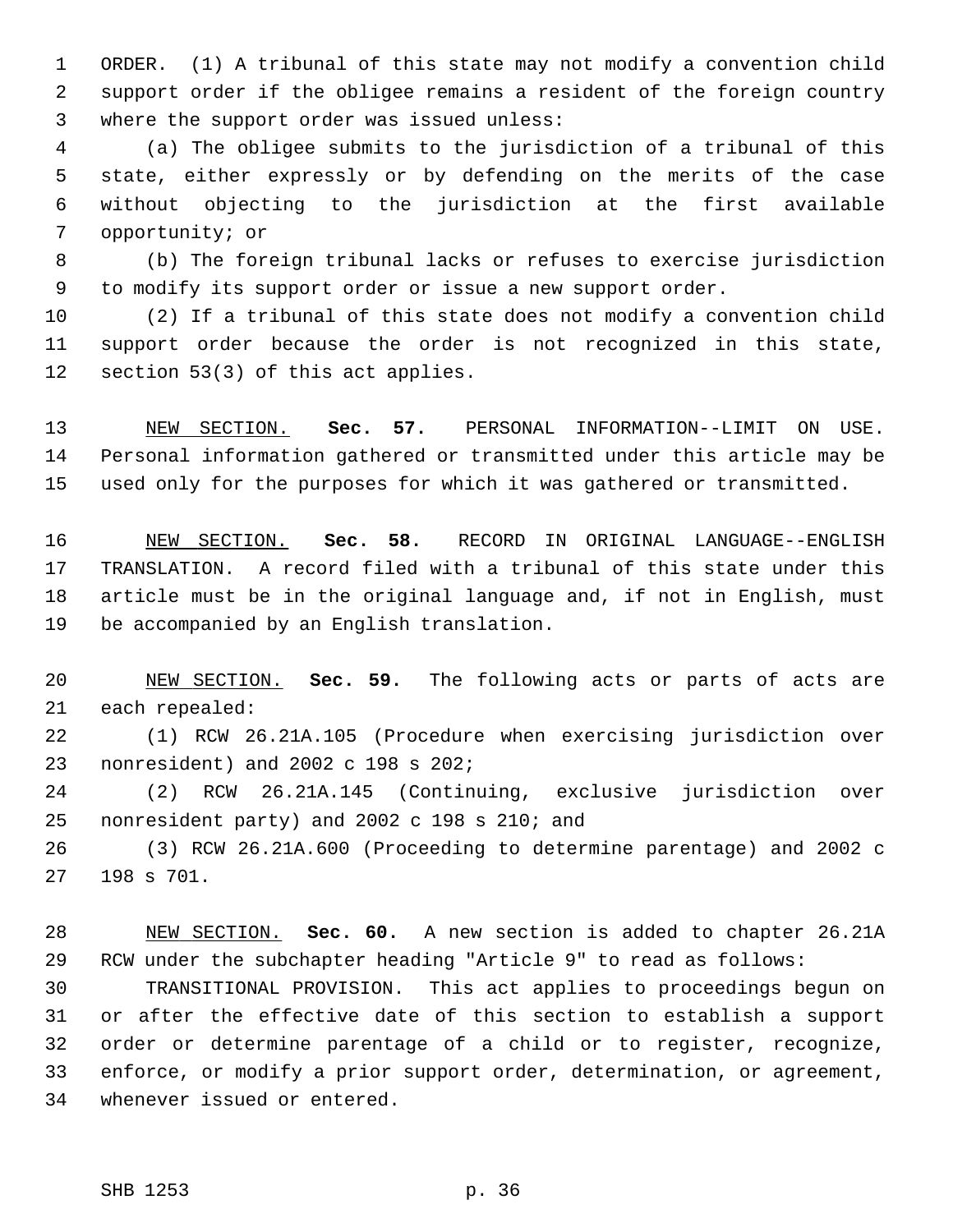1 ORDER. (1) A tribunal of this state may not modify a convention child 2 support order if the obligee remains a resident of the foreign country 3 where the support order was issued unless:

 4 (a) The obligee submits to the jurisdiction of a tribunal of this 5 state, either expressly or by defending on the merits of the case 6 without objecting to the jurisdiction at the first available 7 opportunity; or

 8 (b) The foreign tribunal lacks or refuses to exercise jurisdiction 9 to modify its support order or issue a new support order.

10 (2) If a tribunal of this state does not modify a convention child 11 support order because the order is not recognized in this state, 12 section 53(3) of this act applies.

13 NEW SECTION. **Sec. 57.** PERSONAL INFORMATION--LIMIT ON USE. 14 Personal information gathered or transmitted under this article may be 15 used only for the purposes for which it was gathered or transmitted.

16 NEW SECTION. **Sec. 58.** RECORD IN ORIGINAL LANGUAGE--ENGLISH 17 TRANSLATION. A record filed with a tribunal of this state under this 18 article must be in the original language and, if not in English, must 19 be accompanied by an English translation.

20 NEW SECTION. **Sec. 59.** The following acts or parts of acts are 21 each repealed:

22 (1) RCW 26.21A.105 (Procedure when exercising jurisdiction over 23 nonresident) and 2002 c 198 s 202;

24 (2) RCW 26.21A.145 (Continuing, exclusive jurisdiction over 25 nonresident party) and 2002 c 198 s 210; and

26 (3) RCW 26.21A.600 (Proceeding to determine parentage) and 2002 c 27 198 s 701.

28 NEW SECTION. **Sec. 60.** A new section is added to chapter 26.21A 29 RCW under the subchapter heading "Article 9" to read as follows:

30 TRANSITIONAL PROVISION. This act applies to proceedings begun on 31 or after the effective date of this section to establish a support 32 order or determine parentage of a child or to register, recognize, 33 enforce, or modify a prior support order, determination, or agreement, 34 whenever issued or entered.